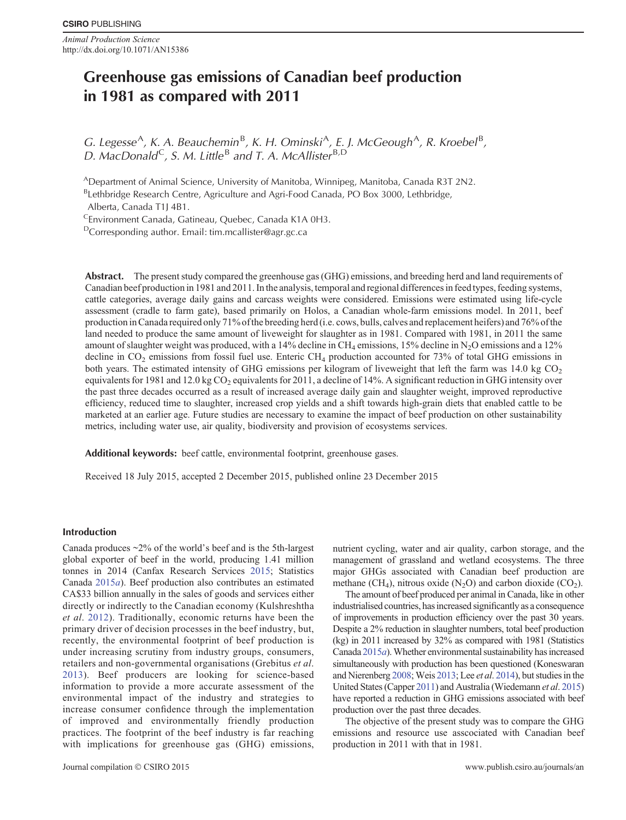*Animal Production Science* http://dx.doi.org/10.1071/AN15386

# **Greenhouse gas emissions of Canadian beef production in 1981 as compared with 2011**

G. Legesse<sup>A</sup>, K. A. Beauchemin<sup>B</sup>, K. H. Ominski<sup>A</sup>, E. J. McGeough<sup>A</sup>, R. Kroebel<sup>B</sup>, D. MacDonald<sup>C</sup>, S. M. Little<sup>B</sup> and T. A. McAllister<sup>B,D</sup>

ADepartment of Animal Science, University of Manitoba, Winnipeg, Manitoba, Canada R3T 2N2.

<sup>B</sup>Lethbridge Research Centre, Agriculture and Agri-Food Canada, PO Box 3000, Lethbridge,

Alberta, Canada T1J 4B1.

<sup>C</sup>Environment Canada, Gatineau, Quebec, Canada K1A 0H3.

DCorresponding author. Email: [tim.mcallister@agr.gc.ca](mailto:tim.mcallister@agr.gc.ca)

**Abstract.** The present study compared the greenhouse gas (GHG) emissions, and breeding herd and land requirements of Canadian beef production in 1981 and 2011. In the analysis, temporal and regional differences in feed types, feeding systems, cattle categories, average daily gains and carcass weights were considered. Emissions were estimated using life-cycle assessment (cradle to farm gate), based primarily on Holos, a Canadian whole-farm emissions model. In 2011, beef production in Canada required only 71% of the breeding herd (i.e. cows, bulls, calves and replacement heifers) and 76% of the land needed to produce the same amount of liveweight for slaughter as in 1981. Compared with 1981, in 2011 the same amount of slaughter weight was produced, with a 14% decline in CH<sub>4</sub> emissions, 15% decline in N<sub>2</sub>O emissions and a 12% decline in  $CO_2$  emissions from fossil fuel use. Enteric  $CH_4$  production accounted for 73% of total GHG emissions in both years. The estimated intensity of GHG emissions per kilogram of liveweight that left the farm was 14.0 kg  $CO<sub>2</sub>$ equivalents for 1981 and 12.0 kg  $CO<sub>2</sub>$  equivalents for 2011, a decline of 14%. A significant reduction in GHG intensity over the past three decades occurred as a result of increased average daily gain and slaughter weight, improved reproductive efficiency, reduced time to slaughter, increased crop yields and a shift towards high-grain diets that enabled cattle to be marketed at an earlier age. Future studies are necessary to examine the impact of beef production on other sustainability metrics, including water use, air quality, biodiversity and provision of ecosystems services.

**Additional keywords:** beef cattle, environmental footprint, greenhouse gases.

Received 18 July 2015, accepted 2 December 2015, published online 23 December 2015

## **Introduction**

Canada produces  $\sim$ 2% of the world's beef and is the 5th-largest global exporter of beef in the world, producing 1.41 million tonnes in 2014 (Canfax Research Services [2015](#page-13-0); Statistics Canada [2015](#page-15-0)*a*). Beef production also contributes an estimated CA\$33 billion annually in the sales of goods and services either directly or indirectly to the Canadian economy (Kulshreshtha *et al*. [2012\)](#page-14-0). Traditionally, economic returns have been the primary driver of decision processes in the beef industry, but, recently, the environmental footprint of beef production is under increasing scrutiny from industry groups, consumers, retailers and non-governmental organisations (Grebitus *et al*. [2013](#page-13-0)). Beef producers are looking for science-based information to provide a more accurate assessment of the environmental impact of the industry and strategies to increase consumer confidence through the implementation of improved and environmentally friendly production practices. The footprint of the beef industry is far reaching with implications for greenhouse gas (GHG) emissions, nutrient cycling, water and air quality, carbon storage, and the management of grassland and wetland ecosystems. The three major GHGs associated with Canadian beef production are methane (CH<sub>4</sub>), nitrous oxide (N<sub>2</sub>O) and carbon dioxide (CO<sub>2</sub>).

The amount of beef produced per animal in Canada, like in other industrialised countries, has increased significantly as a consequence of improvements in production efficiency over the past 30 years. Despite a 2% reduction in slaughter numbers, total beef production (kg) in 2011 increased by 32% as compared with 1981 (Statistics Canada [2015](#page-15-0)*a*).Whether environmental sustainability has increased simultaneously with production has been questioned (Koneswaran and Nierenberg [2008](#page-14-0); Weis [2013;](#page-15-0) Lee *et al*. [2014\)](#page-14-0), but studies in the United States (Capper [2011](#page-13-0)) and Australia (Wiedemann *et al*. [2015\)](#page-15-0) have reported a reduction in GHG emissions associated with beef production over the past three decades.

The objective of the present study was to compare the GHG emissions and resource use asscociated with Canadian beef production in 2011 with that in 1981.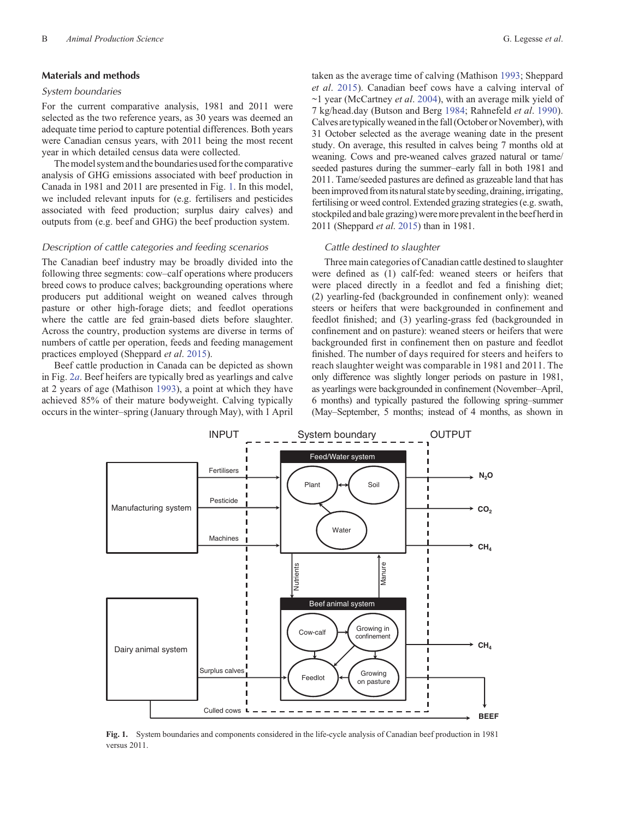## **Materials and methods**

## *System boundaries*

For the current comparative analysis, 1981 and 2011 were selected as the two reference years, as 30 years was deemed an adequate time period to capture potential differences. Both years were Canadian census years, with 2011 being the most recent year in which detailed census data were collected.

The model system and the boundaries used for the comparative analysis of GHG emissions associated with beef production in Canada in 1981 and 2011 are presented in Fig. 1. In this model, we included relevant inputs for (e.g. fertilisers and pesticides associated with feed production; surplus dairy calves) and outputs from (e.g. beef and GHG) the beef production system.

#### *Description of cattle categories and feeding scenarios*

The Canadian beef industry may be broadly divided into the following three segments: cow–calf operations where producers breed cows to produce calves; backgrounding operations where producers put additional weight on weaned calves through pasture or other high-forage diets; and feedlot operations where the cattle are fed grain-based diets before slaughter. Across the country, production systems are diverse in terms of numbers of cattle per operation, feeds and feeding management practices employed (Sheppard *et al*. [2015\)](#page-14-0).

Beef cattle production in Canada can be depicted as shown in Fig. [2](#page-2-0)*a*. Beef heifers are typically bred as yearlings and calve at 2 years of age (Mathison [1993\)](#page-14-0), a point at which they have achieved 85% of their mature bodyweight. Calving typically occurs in the winter–spring (January through May), with 1 April

taken as the average time of calving (Mathison [1993](#page-14-0); Sheppard *et al*. [2015](#page-14-0)). Canadian beef cows have a calving interval of ~1 year (McCartney *et al*. [2004](#page-14-0)), with an average milk yield of 7 kg/head.day (Butson and Berg [1984](#page-13-0); Rahnefeld *et al*. [1990](#page-14-0)). Calves are typically weaned in the fall (October or November), with 31 October selected as the average weaning date in the present study. On average, this resulted in calves being 7 months old at weaning. Cows and pre-weaned calves grazed natural or tame/ seeded pastures during the summer–early fall in both 1981 and 2011. Tame/seeded pastures are defined as grazeable land that has been improved from its natural state by seeding, draining, irrigating, fertilising or weed control. Extended grazing strategies (e.g. swath, stockpiled and bale grazing) weremore prevalent in the beef herdin 2011 (Sheppard *et al*. [2015](#page-14-0)) than in 1981.

#### *Cattle destined to slaughter*

Three main categories of Canadian cattle destined to slaughter were defined as (1) calf-fed: weaned steers or heifers that were placed directly in a feedlot and fed a finishing diet; (2) yearling-fed (backgrounded in confinement only): weaned steers or heifers that were backgrounded in confinement and feedlot finished; and (3) yearling-grass fed (backgrounded in confinement and on pasture): weaned steers or heifers that were backgrounded first in confinement then on pasture and feedlot finished. The number of days required for steers and heifers to reach slaughter weight was comparable in 1981 and 2011. The only difference was slightly longer periods on pasture in 1981, as yearlings were backgrounded in confinement (November–April, 6 months) and typically pastured the following spring–summer (May–September, 5 months; instead of 4 months, as shown in



**Fig. 1.** System boundaries and components considered in the life-cycle analysis of Canadian beef production in 1981 versus 2011.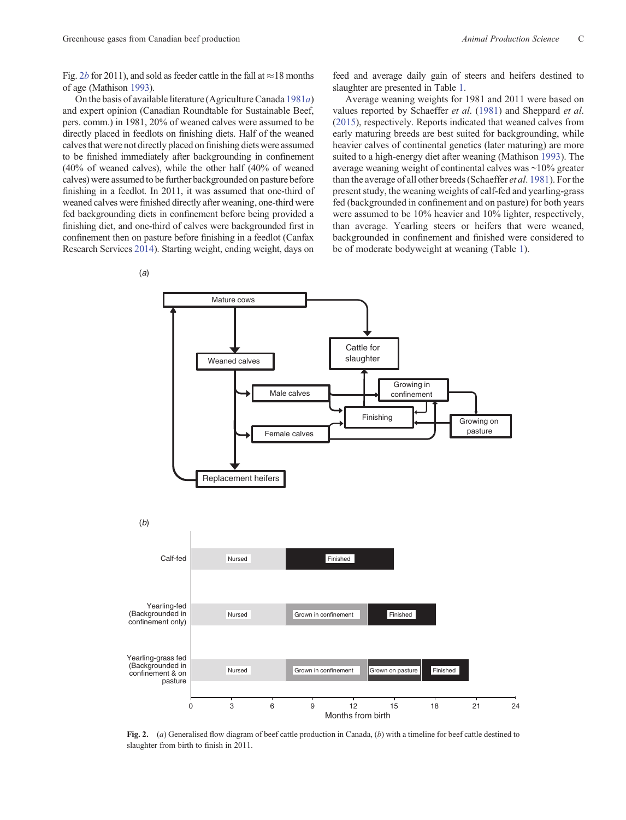<span id="page-2-0"></span>Fig. 2*b* for 2011), and sold as feeder cattle in the fall at  $\approx$  18 months of age (Mathison [1993](#page-14-0)).

On the basis of available literature (Agriculture Canada [1981](#page-13-0)*a*) and expert opinion (Canadian Roundtable for Sustainable Beef, pers. comm.) in 1981, 20% of weaned calves were assumed to be directly placed in feedlots on finishing diets. Half of the weaned calves that were not directly placed on finishing diets were assumed to be finished immediately after backgrounding in confinement (40% of weaned calves), while the other half (40% of weaned calves) were assumed to be further backgrounded on pasture before finishing in a feedlot. In 2011, it was assumed that one-third of weaned calves were finished directly after weaning, one-third were fed backgrounding diets in confinement before being provided a finishing diet, and one-third of calves were backgrounded first in confinement then on pasture before finishing in a feedlot (Canfax Research Services [2014](#page-13-0)). Starting weight, ending weight, days on feed and average daily gain of steers and heifers destined to slaughter are presented in Table [1](#page-3-0).

Average weaning weights for 1981 and 2011 were based on values reported by Schaeffer *et al*. [\(1981](#page-14-0)) and Sheppard *et al*. ([2015\)](#page-14-0), respectively. Reports indicated that weaned calves from early maturing breeds are best suited for backgrounding, while heavier calves of continental genetics (later maturing) are more suited to a high-energy diet after weaning (Mathison [1993](#page-14-0)). The average weaning weight of continental calves was ~10% greater than the average of all other breeds (Schaeffer *et al*. [1981\)](#page-14-0). For the present study, the weaning weights of calf-fed and yearling-grass fed (backgrounded in confinement and on pasture) for both years were assumed to be 10% heavier and 10% lighter, respectively, than average. Yearling steers or heifers that were weaned, backgrounded in confinement and finished were considered to be of moderate bodyweight at weaning (Table [1\)](#page-3-0).



**Fig. 2.** (*a*) Generalised flow diagram of beef cattle production in Canada, (*b*) with a timeline for beef cattle destined to slaughter from birth to finish in 2011.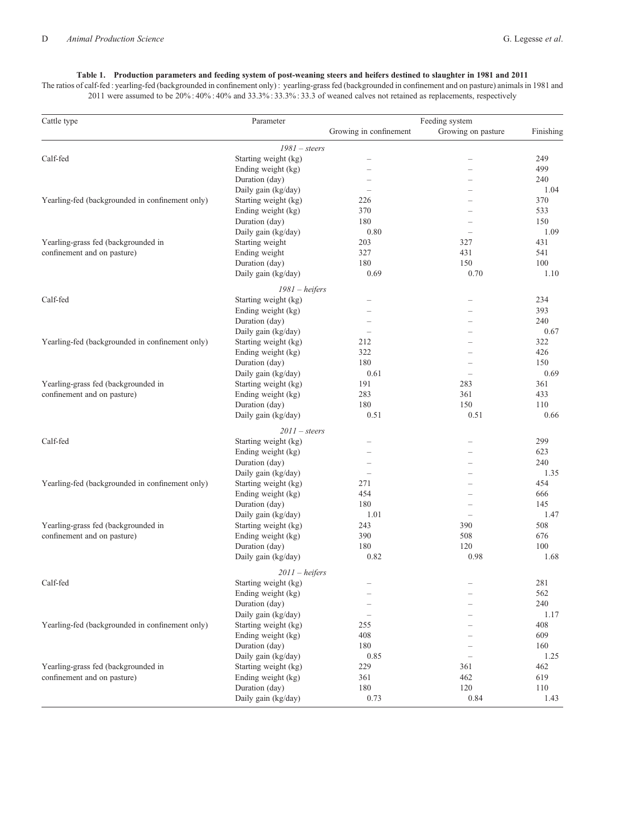# **Table 1. Production parameters and feeding system of post-weaning steers and heifers destined to slaughter in 1981 and 2011**

<span id="page-3-0"></span>The ratios of calf-fed : yearling-fed (backgrounded in confinement only) : yearling-grass fed (backgrounded in confinement and on pasture) animals in 1981 and 2011 were assumed to be 20% : 40% : 40% and 33.3% : 33.3% : 33.3 of weaned calves not retained as replacements, respectively

| Cattle type                                     | Parameter            | Growing in confinement | Feeding system<br>Growing on pasture | Finishing   |
|-------------------------------------------------|----------------------|------------------------|--------------------------------------|-------------|
|                                                 | $1981 - steers$      |                        |                                      |             |
| Calf-fed                                        | Starting weight (kg) |                        |                                      | 249         |
|                                                 | Ending weight (kg)   |                        | $\overline{\phantom{0}}$             | 499         |
|                                                 | Duration (day)       |                        |                                      | 240         |
|                                                 | Daily gain (kg/day)  |                        |                                      | 1.04        |
| Yearling-fed (backgrounded in confinement only) | Starting weight (kg) | 226                    |                                      | 370         |
|                                                 | Ending weight (kg)   | 370                    |                                      | 533         |
|                                                 | Duration (day)       | 180                    |                                      | 150         |
|                                                 | Daily gain (kg/day)  | 0.80                   |                                      | 1.09        |
| Yearling-grass fed (backgrounded in             | Starting weight      | 203                    | 327                                  | 431         |
| confinement and on pasture)                     | Ending weight        | 327                    | 431                                  | 541         |
|                                                 | Duration (day)       | 180                    | 150                                  | 100         |
|                                                 | Daily gain (kg/day)  | 0.69                   | 0.70                                 | 1.10        |
|                                                 | $1981 - heifers$     |                        |                                      |             |
| Calf-fed                                        | Starting weight (kg) |                        |                                      | 234         |
|                                                 | Ending weight (kg)   |                        | L                                    | 393         |
|                                                 |                      |                        |                                      |             |
|                                                 | Duration (day)       |                        |                                      | 240<br>0.67 |
|                                                 | Daily gain (kg/day)  |                        |                                      |             |
| Yearling-fed (backgrounded in confinement only) | Starting weight (kg) | 212                    |                                      | 322         |
|                                                 | Ending weight (kg)   | 322                    |                                      | 426         |
|                                                 | Duration (day)       | 180                    |                                      | 150         |
|                                                 | Daily gain (kg/day)  | 0.61                   | ÷                                    | 0.69        |
| Yearling-grass fed (backgrounded in             | Starting weight (kg) | 191                    | 283                                  | 361         |
| confinement and on pasture)                     | Ending weight (kg)   | 283                    | 361                                  | 433         |
|                                                 | Duration (day)       | 180                    | 150                                  | 110         |
|                                                 | Daily gain (kg/day)  | 0.51                   | 0.51                                 | 0.66        |
|                                                 | $2011$ - steers      |                        |                                      |             |
| Calf-fed                                        | Starting weight (kg) |                        |                                      | 299         |
|                                                 | Ending weight (kg)   |                        |                                      | 623         |
|                                                 | Duration (day)       |                        |                                      | 240         |
|                                                 | Daily gain (kg/day)  |                        | -                                    | 1.35        |
| Yearling-fed (backgrounded in confinement only) | Starting weight (kg) | 271                    |                                      | 454         |
|                                                 | Ending weight (kg)   | 454                    |                                      | 666         |
|                                                 | Duration (day)       | 180                    |                                      | 145         |
|                                                 | Daily gain (kg/day)  | 1.01                   | $\overline{\phantom{0}}$             | 1.47        |
| Yearling-grass fed (backgrounded in             | Starting weight (kg) | 243                    | 390                                  | 508         |
| confinement and on pasture)                     | Ending weight (kg)   | 390                    | 508                                  | 676         |
|                                                 | Duration (day)       | 180                    | 120                                  | 100         |
|                                                 | Daily gain (kg/day)  | 0.82                   | 0.98                                 | 1.68        |
|                                                 |                      |                        |                                      |             |
|                                                 | $2011 - heights$     |                        |                                      |             |
| Calf-fed                                        | Starting weight (kg) |                        |                                      | 281         |
|                                                 | Ending weight (kg)   |                        | -                                    | 562         |
|                                                 | Duration (day)       |                        |                                      | 240         |
|                                                 | Daily gain (kg/day)  |                        |                                      | 1.17        |
| Yearling-fed (backgrounded in confinement only) | Starting weight (kg) | 255                    |                                      | 408         |
|                                                 | Ending weight (kg)   | 408                    |                                      | 609         |
|                                                 | Duration (day)       | 180                    |                                      | 160         |
|                                                 | Daily gain (kg/day)  | 0.85                   |                                      | 1.25        |
| Yearling-grass fed (backgrounded in             | Starting weight (kg) | 229                    | 361                                  | 462         |
| confinement and on pasture)                     | Ending weight (kg)   | 361                    | 462                                  | 619         |
|                                                 | Duration (day)       | 180                    | 120                                  | 110         |
|                                                 | Daily gain (kg/day)  | 0.73                   | 0.84                                 | 1.43        |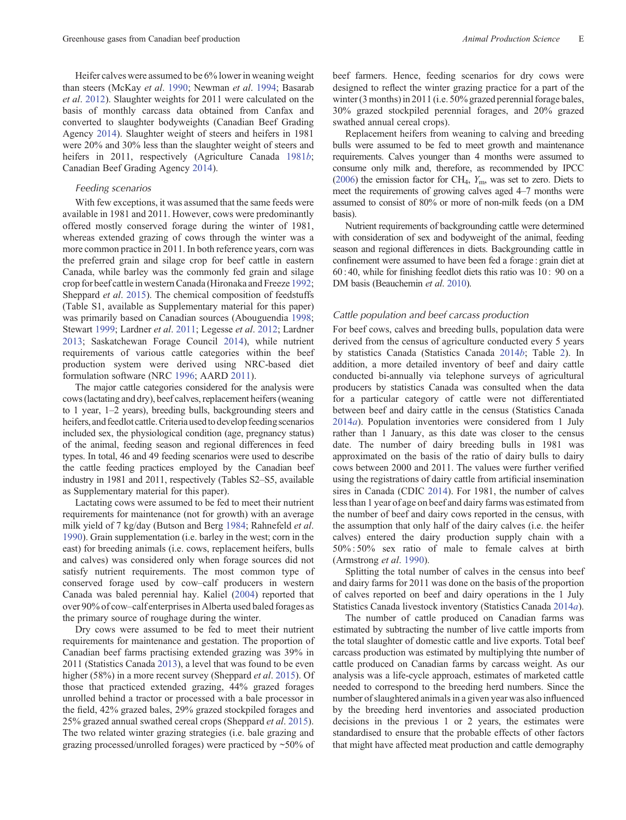Heifer calves were assumed to be 6% lower in weaning weight than steers (McKay *et al*. [1990;](#page-14-0) Newman *et al*. [1994;](#page-14-0) Basarab *et al*. [2012](#page-13-0)). Slaughter weights for 2011 were calculated on the basis of monthly carcass data obtained from Canfax and converted to slaughter bodyweights (Canadian Beef Grading Agency [2014](#page-13-0)). Slaughter weight of steers and heifers in 1981 were 20% and 30% less than the slaughter weight of steers and heifers in 2011, respectively (Agriculture Canada [1981](#page-13-0)*b*; Canadian Beef Grading Agency [2014](#page-13-0)).

## *Feeding scenarios*

With few exceptions, it was assumed that the same feeds were available in 1981 and 2011. However, cows were predominantly offered mostly conserved forage during the winter of 1981, whereas extended grazing of cows through the winter was a more common practice in 2011. In both reference years, corn was the preferred grain and silage crop for beef cattle in eastern Canada, while barley was the commonly fed grain and silage crop for beef cattle in western Canada (Hironaka and Freeze [1992](#page-13-0); Sheppard *et al*. [2015](#page-14-0)). The chemical composition of feedstuffs (Table S1, available as Supplementary material for this paper) was primarily based on Canadian sources (Abouguendia [1998](#page-13-0); Stewart [1999](#page-15-0); Lardner *et al*. [2011](#page-14-0); Legesse *et al*. [2012](#page-14-0); Lardner [2013](#page-14-0); Saskatchewan Forage Council [2014\)](#page-14-0), while nutrient requirements of various cattle categories within the beef production system were derived using NRC-based diet formulation software (NRC [1996](#page-14-0); AARD [2011\)](#page-12-0).

The major cattle categories considered for the analysis were cows (lactating and dry), beef calves, replacement heifers (weaning to 1 year, 1–2 years), breeding bulls, backgrounding steers and heifers, and feedlot cattle. Criteria used to develop feeding scenarios included sex, the physiological condition (age, pregnancy status) of the animal, feeding season and regional differences in feed types. In total, 46 and 49 feeding scenarios were used to describe the cattle feeding practices employed by the Canadian beef industry in 1981 and 2011, respectively (Tables S2–S5, available as Supplementary material for this paper).

Lactating cows were assumed to be fed to meet their nutrient requirements for maintenance (not for growth) with an average milk yield of 7 kg/day (Butson and Berg [1984;](#page-13-0) Rahnefeld *et al*. [1990](#page-14-0)). Grain supplementation (i.e. barley in the west; corn in the east) for breeding animals (i.e. cows, replacement heifers, bulls and calves) was considered only when forage sources did not satisfy nutrient requirements. The most common type of conserved forage used by cow–calf producers in western Canada was baled perennial hay. Kaliel [\(2004](#page-14-0)) reported that over 90% of cow–calf enterprises in Alberta used baled forages as the primary source of roughage during the winter.

Dry cows were assumed to be fed to meet their nutrient requirements for maintenance and gestation. The proportion of Canadian beef farms practising extended grazing was 39% in 2011 (Statistics Canada [2013\)](#page-14-0), a level that was found to be even higher (58%) in a more recent survey (Sheppard *et al*. [2015](#page-14-0)). Of those that practiced extended grazing, 44% grazed forages unrolled behind a tractor or processed with a bale processor in the field, 42% grazed bales, 29% grazed stockpiled forages and 25% grazed annual swathed cereal crops (Sheppard *et al*. [2015](#page-14-0)). The two related winter grazing strategies (i.e. bale grazing and grazing processed/unrolled forages) were practiced by ~50% of

beef farmers. Hence, feeding scenarios for dry cows were designed to reflect the winter grazing practice for a part of the winter (3 months) in 2011 (i.e. 50% grazed perennial forage bales, 30% grazed stockpiled perennial forages, and 20% grazed swathed annual cereal crops).

Replacement heifers from weaning to calving and breeding bulls were assumed to be fed to meet growth and maintenance requirements. Calves younger than 4 months were assumed to consume only milk and, therefore, as recommended by IPCC [\(2006\)](#page-13-0) the emission factor for CH4, *Y*m, was set to zero. Diets to meet the requirements of growing calves aged 4–7 months were assumed to consist of 80% or more of non-milk feeds (on a DM basis).

Nutrient requirements of backgrounding cattle were determined with consideration of sex and bodyweight of the animal, feeding season and regional differences in diets. Backgrounding cattle in confinement were assumed to have been fed a forage : grain diet at 60 : 40, while for finishing feedlot diets this ratio was 10 : 90 on a DM basis (Beauchemin *et al*. [2010\)](#page-13-0).

## *Cattle population and beef carcass production*

For beef cows, calves and breeding bulls, population data were derived from the census of agriculture conducted every 5 years by statistics Canada (Statistics Canada [2014](#page-15-0)*b*; Table [2\)](#page-5-0). In addition, a more detailed inventory of beef and dairy cattle conducted bi-annually via telephone surveys of agricultural producers by statistics Canada was consulted when the data for a particular category of cattle were not differentiated between beef and dairy cattle in the census (Statistics Canada [2014](#page-14-0)*a*). Population inventories were considered from 1 July rather than 1 January, as this date was closer to the census date. The number of dairy breeding bulls in 1981 was approximated on the basis of the ratio of dairy bulls to dairy cows between 2000 and 2011. The values were further verified using the registrations of dairy cattle from artificial insemination sires in Canada (CDIC [2014\)](#page-13-0). For 1981, the number of calves less than 1 year of age on beef and dairy farms was estimated from the number of beef and dairy cows reported in the census, with the assumption that only half of the dairy calves (i.e. the heifer calves) entered the dairy production supply chain with a 50% : 50% sex ratio of male to female calves at birth (Armstrong *et al*. [1990](#page-13-0)).

Splitting the total number of calves in the census into beef and dairy farms for 2011 was done on the basis of the proportion of calves reported on beef and dairy operations in the 1 July Statistics Canada livestock inventory (Statistics Canada [2014](#page-14-0)*a*).

The number of cattle produced on Canadian farms was estimated by subtracting the number of live cattle imports from the total slaughter of domestic cattle and live exports. Total beef carcass production was estimated by multiplying thte number of cattle produced on Canadian farms by carcass weight. As our analysis was a life-cycle approach, estimates of marketed cattle needed to correspond to the breeding herd numbers. Since the number of slaughtered animals in a given year was also influenced by the breeding herd inventories and associated production decisions in the previous 1 or 2 years, the estimates were standardised to ensure that the probable effects of other factors that might have affected meat production and cattle demography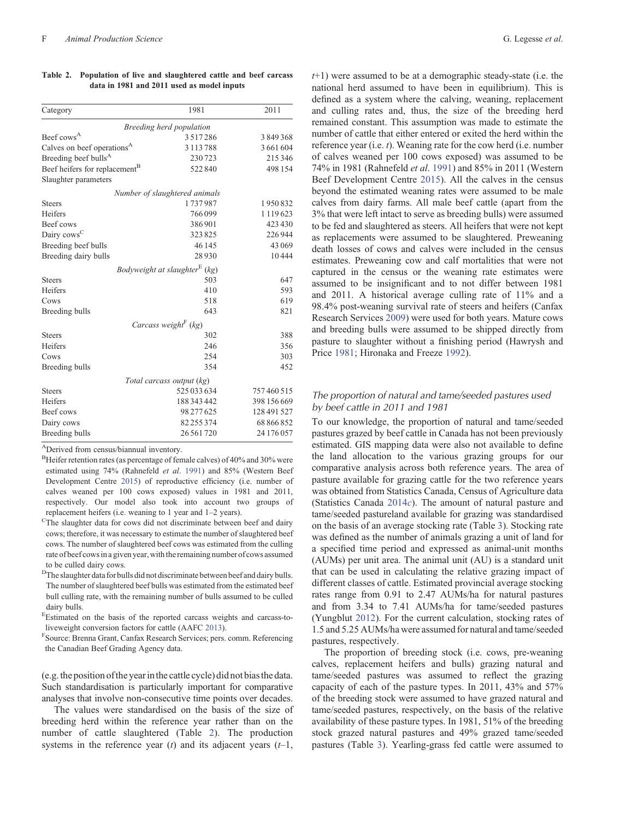| Breeding herd population<br>3517286<br>Calves on beef operations <sup>A</sup><br>3 1 1 3 7 8 8<br>Breeding beef bulls <sup>A</sup><br>230723<br>Beef heifers for replacement <sup>B</sup><br>522840<br>Slaughter parameters<br>Number of slaughtered animals<br>1737987<br><b>Steers</b><br>Heifers<br>766099<br>Beef cows<br>386901<br>Dairy cows <sup>C</sup><br>323825<br>Breeding beef bulls<br>46 145<br>Breeding dairy bulls<br>28930<br>Bodyweight at slaughter <sup>E</sup> (kg)<br>503<br><b>Steers</b><br>410<br>518<br>Breeding bulls<br>643<br>Carcass weight <sup>F</sup> (kg)<br>302<br><b>Steers</b><br>246<br>254<br>354<br>Breeding bulls<br>Total carcass output (kg)<br>525 033 634<br><b>Steers</b><br>Heifers<br>188 343 442<br>98 277 625<br>82 255 374 | Category       | 1981         | 2011        |
|-------------------------------------------------------------------------------------------------------------------------------------------------------------------------------------------------------------------------------------------------------------------------------------------------------------------------------------------------------------------------------------------------------------------------------------------------------------------------------------------------------------------------------------------------------------------------------------------------------------------------------------------------------------------------------------------------------------------------------------------------------------------------------|----------------|--------------|-------------|
| Beef cows <sup>A</sup><br>Heifers<br>Cows<br>Heifers<br>Cows<br>Beef cows<br>Dairy cows                                                                                                                                                                                                                                                                                                                                                                                                                                                                                                                                                                                                                                                                                       |                |              |             |
|                                                                                                                                                                                                                                                                                                                                                                                                                                                                                                                                                                                                                                                                                                                                                                               |                |              | 3849368     |
|                                                                                                                                                                                                                                                                                                                                                                                                                                                                                                                                                                                                                                                                                                                                                                               |                |              | 3 661 604   |
|                                                                                                                                                                                                                                                                                                                                                                                                                                                                                                                                                                                                                                                                                                                                                                               |                |              | 215 346     |
|                                                                                                                                                                                                                                                                                                                                                                                                                                                                                                                                                                                                                                                                                                                                                                               |                |              | 498 154     |
|                                                                                                                                                                                                                                                                                                                                                                                                                                                                                                                                                                                                                                                                                                                                                                               |                |              |             |
|                                                                                                                                                                                                                                                                                                                                                                                                                                                                                                                                                                                                                                                                                                                                                                               |                |              |             |
|                                                                                                                                                                                                                                                                                                                                                                                                                                                                                                                                                                                                                                                                                                                                                                               |                |              | 1950832     |
|                                                                                                                                                                                                                                                                                                                                                                                                                                                                                                                                                                                                                                                                                                                                                                               |                |              | 1119623     |
|                                                                                                                                                                                                                                                                                                                                                                                                                                                                                                                                                                                                                                                                                                                                                                               |                |              | 423 430     |
|                                                                                                                                                                                                                                                                                                                                                                                                                                                                                                                                                                                                                                                                                                                                                                               |                |              | 226944      |
|                                                                                                                                                                                                                                                                                                                                                                                                                                                                                                                                                                                                                                                                                                                                                                               |                |              | 43 069      |
|                                                                                                                                                                                                                                                                                                                                                                                                                                                                                                                                                                                                                                                                                                                                                                               |                |              | 10444       |
|                                                                                                                                                                                                                                                                                                                                                                                                                                                                                                                                                                                                                                                                                                                                                                               |                |              |             |
|                                                                                                                                                                                                                                                                                                                                                                                                                                                                                                                                                                                                                                                                                                                                                                               |                |              | 647         |
|                                                                                                                                                                                                                                                                                                                                                                                                                                                                                                                                                                                                                                                                                                                                                                               |                |              | 593         |
|                                                                                                                                                                                                                                                                                                                                                                                                                                                                                                                                                                                                                                                                                                                                                                               |                |              | 619         |
|                                                                                                                                                                                                                                                                                                                                                                                                                                                                                                                                                                                                                                                                                                                                                                               |                |              | 821         |
|                                                                                                                                                                                                                                                                                                                                                                                                                                                                                                                                                                                                                                                                                                                                                                               |                |              |             |
|                                                                                                                                                                                                                                                                                                                                                                                                                                                                                                                                                                                                                                                                                                                                                                               |                |              | 388         |
|                                                                                                                                                                                                                                                                                                                                                                                                                                                                                                                                                                                                                                                                                                                                                                               |                |              | 356         |
|                                                                                                                                                                                                                                                                                                                                                                                                                                                                                                                                                                                                                                                                                                                                                                               |                |              | 303         |
|                                                                                                                                                                                                                                                                                                                                                                                                                                                                                                                                                                                                                                                                                                                                                                               |                |              | 452         |
|                                                                                                                                                                                                                                                                                                                                                                                                                                                                                                                                                                                                                                                                                                                                                                               |                |              |             |
|                                                                                                                                                                                                                                                                                                                                                                                                                                                                                                                                                                                                                                                                                                                                                                               |                |              | 757460515   |
|                                                                                                                                                                                                                                                                                                                                                                                                                                                                                                                                                                                                                                                                                                                                                                               |                |              | 398 156 669 |
|                                                                                                                                                                                                                                                                                                                                                                                                                                                                                                                                                                                                                                                                                                                                                                               |                |              | 128 491 527 |
|                                                                                                                                                                                                                                                                                                                                                                                                                                                                                                                                                                                                                                                                                                                                                                               |                |              | 68 866 852  |
|                                                                                                                                                                                                                                                                                                                                                                                                                                                                                                                                                                                                                                                                                                                                                                               | Breeding bulls | 26 5 61 7 20 | 24 176 057  |

<span id="page-5-0"></span>**Table 2. Population of live and slaughtered cattle and beef carcass data in 1981 and 2011 used as model inputs**

ADerived from census/biannual inventory.

 $B$ Heifer retention rates (as percentage of female calves) of 40% and 30% were estimated using 74% (Rahnefeld *et al*. [1991\)](#page-14-0) and 85% (Western Beef Development Centre [2015](#page-15-0)) of reproductive efficiency (i.e. number of calves weaned per 100 cows exposed) values in 1981 and 2011, respectively. Our model also took into account two groups of replacement heifers (i.e. weaning to 1 year and 1–2 years).

<sup>C</sup>The slaughter data for cows did not discriminate between beef and dairy cows; therefore, it was necessary to estimate the number of slaughtered beef cows. The number of slaughtered beef cows was estimated from the culling rate of beef cows in a given year, with the remaining number of cows assumed to be culled dairy cows.

 $<sup>D</sup>$ The slaughter data for bulls did not discriminate between beef and dairy bulls.</sup> The number of slaughtered beef bulls was estimated from the estimated beef bull culling rate, with the remaining number of bulls assumed to be culled dairy bulls.

E Estimated on the basis of the reported carcass weights and carcass-to-liveweight conversion factors for cattle (AAFC [2013](#page-12-0)).

Source: Brenna Grant, Canfax Research Services; pers. comm. Referencing the Canadian Beef Grading Agency data.

(e.g.the position ofthe yearinthe cattle cycle) did not biasthe data. Such standardisation is particularly important for comparative analyses that involve non-consecutive time points over decades.

The values were standardised on the basis of the size of breeding herd within the reference year rather than on the number of cattle slaughtered (Table 2). The production systems in the reference year (*t*) and its adjacent years (*t*–1,

*t*+1) were assumed to be at a demographic steady-state (i.e. the national herd assumed to have been in equilibrium). This is defined as a system where the calving, weaning, replacement and culling rates and, thus, the size of the breeding herd remained constant. This assumption was made to estimate the number of cattle that either entered or exited the herd within the reference year (i.e. *t*). Weaning rate for the cow herd (i.e. number of calves weaned per 100 cows exposed) was assumed to be 74% in 1981 (Rahnefeld *et al*. [1991](#page-14-0)) and 85% in 2011 (Western Beef Development Centre [2015](#page-15-0)). All the calves in the census beyond the estimated weaning rates were assumed to be male calves from dairy farms. All male beef cattle (apart from the 3% that were left intact to serve as breeding bulls) were assumed to be fed and slaughtered as steers. All heifers that were not kept as replacements were assumed to be slaughtered. Preweaning death losses of cows and calves were included in the census estimates. Preweaning cow and calf mortalities that were not captured in the census or the weaning rate estimates were assumed to be insignificant and to not differ between 1981 and 2011. A historical average culling rate of 11% and a 98.4% post-weaning survival rate of steers and heifers (Canfax Research Services [2009\)](#page-13-0) were used for both years. Mature cows and breeding bulls were assumed to be shipped directly from pasture to slaughter without a finishing period (Hawrysh and Price [1981](#page-13-0); Hironaka and Freeze [1992\)](#page-13-0).

# *The proportion of natural and tame/seeded pastures used by beef cattle in 2011 and 1981*

To our knowledge, the proportion of natural and tame/seeded pastures grazed by beef cattle in Canada has not been previously estimated. GIS mapping data were also not available to define the land allocation to the various grazing groups for our comparative analysis across both reference years. The area of pasture available for grazing cattle for the two reference years was obtained from Statistics Canada, Census of Agriculture data (Statistics Canada [2014](#page-15-0)*c*). The amount of natural pasture and tame/seeded pastureland available for grazing was standardised on the basis of an average stocking rate (Table [3](#page-6-0)). Stocking rate was defined as the number of animals grazing a unit of land for a specified time period and expressed as animal-unit months (AUMs) per unit area. The animal unit (AU) is a standard unit that can be used in calculating the relative grazing impact of different classes of cattle. Estimated provincial average stocking rates range from 0.91 to 2.47 AUMs/ha for natural pastures and from 3.34 to 7.41 AUMs/ha for tame/seeded pastures (Yungblut [2012](#page-15-0)). For the current calculation, stocking rates of 1.5 and 5.25 AUMs/ha were assumed for natural and tame/seeded pastures, respectively.

The proportion of breeding stock (i.e. cows, pre-weaning calves, replacement heifers and bulls) grazing natural and tame/seeded pastures was assumed to reflect the grazing capacity of each of the pasture types. In 2011, 43% and 57% of the breeding stock were assumed to have grazed natural and tame/seeded pastures, respectively, on the basis of the relative availability of these pasture types. In 1981, 51% of the breeding stock grazed natural pastures and 49% grazed tame/seeded pastures (Table [3\)](#page-6-0). Yearling-grass fed cattle were assumed to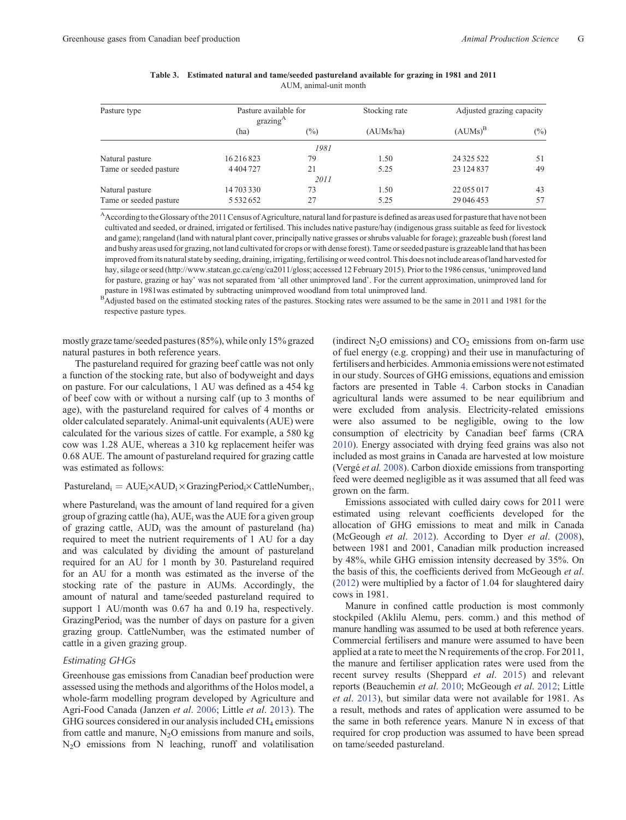<span id="page-6-0"></span>

| Pasture type                            | Pasture available for<br>grazing <sup>A</sup> |        | Stocking rate | Adjusted grazing capacity |        |  |
|-----------------------------------------|-----------------------------------------------|--------|---------------|---------------------------|--------|--|
|                                         | (ha)                                          | $(\%)$ | (AUMs/ha)     | $(AUMs)^B$                | $(\%)$ |  |
|                                         |                                               | 1981   |               |                           |        |  |
| Natural pasture                         | 16216823                                      | 79     | 1.50          | 24 3 25 5 22              | 51     |  |
| Tame or seeded pasture                  | 4404727                                       | 21     | 5.25          | 23 124 837                | 49     |  |
|                                         |                                               | 2011   |               |                           |        |  |
| Natural pasture                         | 14 703 330                                    | 73     | 1.50          | 22055017                  | 43     |  |
| Tame or seeded pasture<br>5 5 3 2 6 5 2 |                                               | 27     | 5.25          | 29 04 6 453               | 57     |  |

| Table 3. Estimated natural and tame/seeded pastureland available for grazing in 1981 and 2011 |  |
|-----------------------------------------------------------------------------------------------|--|
| AUM, animal-unit month                                                                        |  |

<sup>A</sup>According to the Glossary of the 2011 Census of Agriculture, natural land for pasture is defined as areas used for pasture that have not been cultivated and seeded, or drained, irrigated or fertilised. This includes native pasture/hay (indigenous grass suitable as feed for livestock and game); rangeland (land with natural plant cover, principally native grasses or shrubs valuable for forage); grazeable bush (forest land and bushy areas used for grazing, not land cultivated for crops or with dense forest). Tame or seeded pasture is grazeable land that has been improved from its natural state by seeding, draining, irrigating, fertilising or weed control. This does not include areas of land harvested for hay, silage or seed ([http://www.statcan.gc.ca/eng/ca2011/gloss;](www.agr.gc.ca/eng/industry-markets-and-trade/statistics-and-market-information/by-product-sector/red-meat-and-livestock/red-meat-market-information-canadian-industry/carcass-weight/conversion-factors/?id=1415860000020) accessed 12 February 2015). Prior to the 1986 census, 'unimproved land for pasture, grazing or hay' was not separated from 'all other unimproved land'. For the current approximation, unimproved land for pasture in 1981was estimated by subtracting unimproved woodland from total unimproved land.

<sup>B</sup>Adjusted based on the estimated stocking rates of the pastures. Stocking rates were assumed to be the same in 2011 and 1981 for the respective pasture types.

mostly graze tame/seeded pastures (85%), while only 15% grazed natural pastures in both reference years.

The pastureland required for grazing beef cattle was not only a function of the stocking rate, but also of bodyweight and days on pasture. For our calculations, 1 AU was defined as a 454 kg of beef cow with or without a nursing calf (up to 3 months of age), with the pastureland required for calves of 4 months or older calculated separately. Animal-unit equivalents (AUE) were calculated for the various sizes of cattle. For example, a 580 kg cow was 1.28 AUE, whereas a 310 kg replacement heifer was 0.68 AUE. The amount of pastureland required for grazing cattle was estimated as follows:

## $Pastureland_i = AUE_i \times AUD_i \times GrazingPeriod_i \times CattleNumber_i$ ;

where Pastureland<sub>i</sub> was the amount of land required for a given group of grazing cattle (ha),  $AUE_i$  was the  $AUE$  for a given group of grazing cattle, AUDi was the amount of pastureland (ha) required to meet the nutrient requirements of 1 AU for a day and was calculated by dividing the amount of pastureland required for an AU for 1 month by 30. Pastureland required for an AU for a month was estimated as the inverse of the stocking rate of the pasture in AUMs. Accordingly, the amount of natural and tame/seeded pastureland required to support 1 AU/month was 0.67 ha and 0.19 ha, respectively. GrazingPeriod<sub>i</sub> was the number of days on pasture for a given grazing group. CattleNumber<sub>i</sub> was the estimated number of cattle in a given grazing group.

# *Estimating GHGs*

Greenhouse gas emissions from Canadian beef production were assessed using the methods and algorithms of the Holos model, a whole-farm modelling program developed by Agriculture and Agri-Food Canada (Janzen *et al*. [2006;](#page-13-0) Little *et al*. [2013\)](#page-14-0). The GHG sources considered in our analysis included  $CH<sub>4</sub>$  emissions from cattle and manure,  $N<sub>2</sub>O$  emissions from manure and soils, N2O emissions from N leaching, runoff and volatilisation (indirect  $N_2O$  emissions) and  $CO_2$  emissions from on-farm use of fuel energy (e.g. cropping) and their use in manufacturing of fertilisers and herbicides. Ammonia emissions were not estimated in our study. Sources of GHG emissions, equations and emission factors are presented in Table [4.](#page-7-0) Carbon stocks in Canadian agricultural lands were assumed to be near equilibrium and were excluded from analysis. Electricity-related emissions were also assumed to be negligible, owing to the low consumption of electricity by Canadian beef farms (CRA [2010\)](#page-13-0). Energy associated with drying feed grains was also not included as most grains in Canada are harvested at low moisture (Vergé *et al.* [2008\)](#page-15-0). Carbon dioxide emissions from transporting feed were deemed negligible as it was assumed that all feed was grown on the farm.

Emissions associated with culled dairy cows for 2011 were estimated using relevant coefficients developed for the allocation of GHG emissions to meat and milk in Canada (McGeough *et al*. [2012\)](#page-14-0). According to Dyer *et al*. [\(2008](#page-13-0)), between 1981 and 2001, Canadian milk production increased by 48%, while GHG emission intensity decreased by 35%. On the basis of this, the coefficients derived from McGeough *et al*. ([2012\)](#page-14-0) were multiplied by a factor of 1.04 for slaughtered dairy cows in 1981.

Manure in confined cattle production is most commonly stockpiled (Aklilu Alemu, pers. comm.) and this method of manure handling was assumed to be used at both reference years. Commercial fertilisers and manure were assumed to have been applied at a rate to meet the N requirements of the crop. For 2011, the manure and fertiliser application rates were used from the recent survey results (Sheppard *et al*. [2015](#page-14-0)) and relevant reports (Beauchemin *et al*. [2010;](#page-13-0) McGeough *et al*. [2012](#page-14-0); Little *et al*. [2013\)](#page-14-0), but similar data were not available for 1981. As a result, methods and rates of application were assumed to be the same in both reference years. Manure N in excess of that required for crop production was assumed to have been spread on tame/seeded pastureland.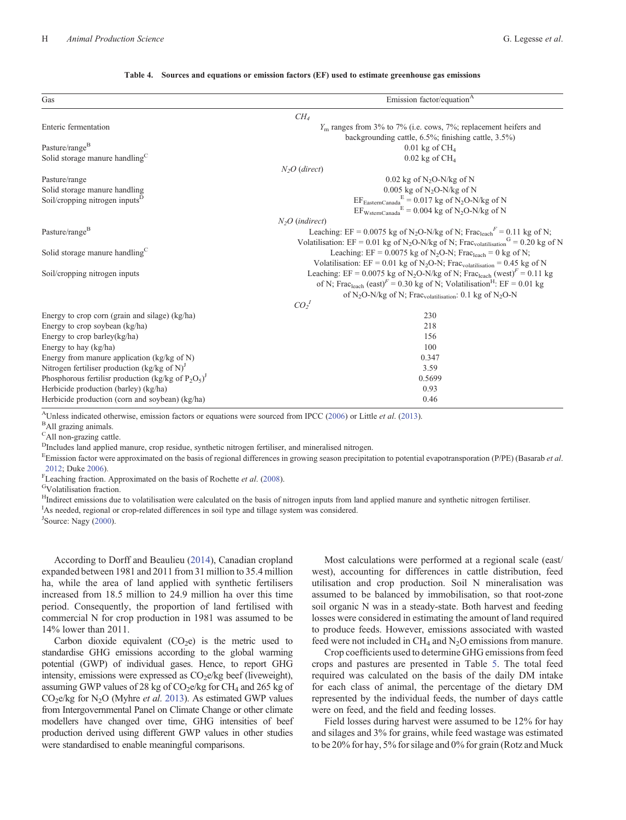<span id="page-7-0"></span>

| Gas                                                                                                                     | Emission factor/equation <sup>A</sup>                                                                                  |  |  |  |  |
|-------------------------------------------------------------------------------------------------------------------------|------------------------------------------------------------------------------------------------------------------------|--|--|--|--|
|                                                                                                                         | CH <sub>4</sub>                                                                                                        |  |  |  |  |
| Enteric fermentation                                                                                                    | $Ym$ ranges from 3% to 7% (i.e. cows, 7%; replacement heifers and                                                      |  |  |  |  |
|                                                                                                                         | backgrounding cattle, $6.5\%$ ; finishing cattle, $3.5\%$ )                                                            |  |  |  |  |
| Pasture/range <sup>B</sup>                                                                                              | $0.01$ kg of CH <sub>4</sub>                                                                                           |  |  |  |  |
| Solid storage manure handling <sup>C</sup>                                                                              | $0.02$ kg of CH <sub>4</sub>                                                                                           |  |  |  |  |
|                                                                                                                         | $N2O$ (direct)                                                                                                         |  |  |  |  |
| Pasture/range                                                                                                           | $0.02$ kg of N <sub>2</sub> O-N/kg of N                                                                                |  |  |  |  |
| Solid storage manure handling                                                                                           | $0.005$ kg of N <sub>2</sub> O-N/kg of N                                                                               |  |  |  |  |
| Soil/cropping nitrogen inputs <sup>D</sup>                                                                              | $EF_{\text{EasternCanada}_{\sim}}$ <sup>E</sup> = 0.017 kg of N <sub>2</sub> O-N/kg of N                               |  |  |  |  |
|                                                                                                                         | $EF_{WsternCanada}^E = 0.004$ kg of N <sub>2</sub> O-N/kg of N                                                         |  |  |  |  |
|                                                                                                                         | $N2O$ (indirect)                                                                                                       |  |  |  |  |
| Pasture/range <sup>B</sup>                                                                                              | Leaching: EF = $0.0075$ kg of N <sub>2</sub> O-N/kg of N; Frac <sub>leach</sub> <sup>F</sup> = $0.11$ kg of N;         |  |  |  |  |
|                                                                                                                         | Volatilisation: EF = 0.01 kg of N <sub>2</sub> O-N/kg of N; Frac <sub>volatilisation</sub> <sup>G</sup> = 0.20 kg of N |  |  |  |  |
| Solid storage manure handling <sup>C</sup>                                                                              | Leaching: EF = $0.0075$ kg of N <sub>2</sub> O-N; Frac <sub>leach</sub> = 0 kg of N;                                   |  |  |  |  |
|                                                                                                                         | Volatilisation: $EF = 0.01$ kg of N <sub>2</sub> O-N; Frac <sub>volatilisation</sub> = 0.45 kg of N                    |  |  |  |  |
| Soil/cropping nitrogen inputs                                                                                           | Leaching: EF = 0.0075 kg of N <sub>2</sub> O-N/kg of N; Frac <sub>leach</sub> (west) <sup>F</sup> = 0.11 kg            |  |  |  |  |
| of N; Frac <sub>leach</sub> (east) <sup><math>F = 0.30</math></sup> kg of N; Volatilisation <sup>H</sup> : EF = 0.01 kg |                                                                                                                        |  |  |  |  |
|                                                                                                                         | of N <sub>2</sub> O-N/kg of N; Frac <sub>volatilisation</sub> : 0.1 kg of N <sub>2</sub> O-N                           |  |  |  |  |
|                                                                                                                         | $CO_2^{\phantom{2}}$                                                                                                   |  |  |  |  |
| Energy to crop corn (grain and silage) (kg/ha)                                                                          | 230                                                                                                                    |  |  |  |  |
| Energy to crop soybean (kg/ha)                                                                                          | 218                                                                                                                    |  |  |  |  |
| Energy to crop barley(kg/ha)                                                                                            | 156                                                                                                                    |  |  |  |  |
| Energy to hay (kg/ha)                                                                                                   | 100                                                                                                                    |  |  |  |  |
| Energy from manure application ( $kg/kg$ of N)                                                                          | 0.347                                                                                                                  |  |  |  |  |
| Nitrogen fertiliser production $(kg/kg \text{ of } N)^{J}$                                                              | 3.59                                                                                                                   |  |  |  |  |
| Phosphorous fertilisr production (kg/kg of $P_2O_5$ ) <sup>J</sup>                                                      | 0.5699                                                                                                                 |  |  |  |  |
| Herbicide production (barley) (kg/ha)                                                                                   | 0.93                                                                                                                   |  |  |  |  |
| Herbicide production (corn and soybean) (kg/ha)                                                                         | 0.46                                                                                                                   |  |  |  |  |

#### **Table 4. Sources and equations or emission factors (EF) used to estimate greenhouse gas emissions**

AUnless indicated otherwise, emission factors or equations were sourced from IPCC [\(2006](#page-13-0)) or Little *et al*. ([2013\)](#page-14-0). <sup>B</sup>

All grazing animals.

CAll non-grazing cattle.

<sup>D</sup>Includes land applied manure, crop residue, synthetic nitrogen fertiliser, and mineralised nitrogen.

E Emission factor were approximated on the basis of regional differences in growing season precipitation to potential evapotransporation (P/PE) (Basarab *et al*. [2012](#page-13-0); Duke [2006\)](#page-13-0).<br> $F_{\text{L} \text{exchino fraction}}$ 

<sup>F</sup>Leaching fraction. Approximated on the basis of Rochette *et al.* [\(2008](#page-14-0)). GVolatilisation fraction.

<sup>H</sup>Indirect emissions due to volatilisation were calculated on the basis of nitrogen inputs from land applied manure and synthetic nitrogen fertiliser. <sup>I</sup>As needed, regional or crop-related differences in soil type and tillage system was considered.

<sup>J</sup>Source: Nagy [\(2000\)](#page-14-0).

According to Dorff and Beaulieu [\(2014](#page-13-0)), Canadian cropland expanded between 1981 and 2011 from 31 million to 35.4 million ha, while the area of land applied with synthetic fertilisers increased from 18.5 million to 24.9 million ha over this time period. Consequently, the proportion of land fertilised with commercial N for crop production in 1981 was assumed to be 14% lower than 2011.

Carbon dioxide equivalent  $(CO_2e)$  is the metric used to standardise GHG emissions according to the global warming potential (GWP) of individual gases. Hence, to report GHG intensity, emissions were expressed as  $CO<sub>2</sub>e/kg$  beef (liveweight), assuming GWP values of 28 kg of  $CO<sub>2</sub>e/kg$  for  $CH<sub>4</sub>$  and 265 kg of CO2e/kg for N2O (Myhre *et al*. [2013](#page-14-0)). As estimated GWP values from Intergovernmental Panel on Climate Change or other climate modellers have changed over time, GHG intensities of beef production derived using different GWP values in other studies were standardised to enable meaningful comparisons.

Most calculations were performed at a regional scale (east/ west), accounting for differences in cattle distribution, feed utilisation and crop production. Soil N mineralisation was assumed to be balanced by immobilisation, so that root-zone soil organic N was in a steady-state. Both harvest and feeding losses were considered in estimating the amount of land required to produce feeds. However, emissions associated with wasted feed were not included in  $CH_4$  and  $N_2O$  emissions from manure.

Crop coefficients used to determine GHG emissions from feed crops and pastures are presented in Table [5.](#page-8-0) The total feed required was calculated on the basis of the daily DM intake for each class of animal, the percentage of the dietary DM represented by the individual feeds, the number of days cattle were on feed, and the field and feeding losses.

Field losses during harvest were assumed to be 12% for hay and silages and 3% for grains, while feed wastage was estimated to be 20% for hay, 5% for silage and 0% for grain (Rotz and Muck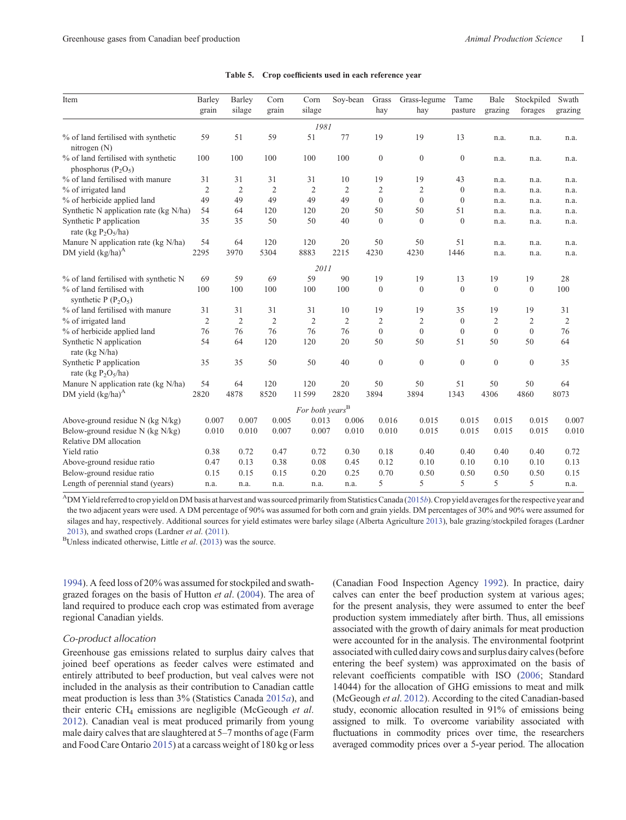<span id="page-8-0"></span>

| Item                                                              | Barley<br>grain | Barley<br>silage | Corn<br>grain  | Corn<br>silage              | Sov-bean       | Grass<br>hay     | Grass-legume<br>hay | Tame<br>pasture | Bale<br>grazing  | Stockpiled<br>forages | Swath<br>grazing |
|-------------------------------------------------------------------|-----------------|------------------|----------------|-----------------------------|----------------|------------------|---------------------|-----------------|------------------|-----------------------|------------------|
|                                                                   |                 |                  |                | 1981                        |                |                  |                     |                 |                  |                       |                  |
| % of land fertilised with synthetic<br>nitrogen $(N)$             | 59              | 51               | 59             | 51                          | 77             | 19               | 19                  | 13              | n.a.             | n.a.                  | n.a.             |
| % of land fertilised with synthetic<br>phosphorus $(P_2O_5)$      | 100             | 100              | 100            | 100                         | 100            | $\mathbf{0}$     | $\mathbf{0}$        | $\mathbf{0}$    | n.a.             | n.a.                  | n.a.             |
| % of land fertilised with manure                                  | 31              | 31               | 31             | 31                          | 10             | 19               | 19                  | 43              | n.a.             | n.a.                  | n.a.             |
| % of irrigated land                                               | $\mathfrak{2}$  | $\overline{2}$   | $\overline{2}$ | $\overline{2}$              | $\overline{2}$ | $\overline{c}$   | $\overline{c}$      | $\mathbf{0}$    | n.a.             | n.a.                  | n.a.             |
| % of herbicide applied land                                       | 49              | 49               | 49             | 49                          | 49             | $\theta$         | $\theta$            | $\mathbf{0}$    | n.a.             | n.a.                  | n.a.             |
| Synthetic N application rate (kg N/ha)                            | 54              | 64               | 120            | 120                         | 20             | 50               | 50                  | 51              | n.a.             | n.a.                  | n.a.             |
| Synthetic P application<br>rate (kg $P_2O_5/ha$ )                 | 35              | 35               | 50             | 50                          | 40             | $\mathbf{0}$     | $\mathbf{0}$        | $\mathbf{0}$    | n.a.             | n.a.                  | n.a.             |
| Manure N application rate (kg N/ha)                               | 54              | 64               | 120            | 120                         | 20             | 50               | 50                  | 51              | n.a.             | n.a.                  | n.a.             |
| DM yield $(kg/ha)^A$                                              | 2295            | 3970             | 5304           | 8883                        | 2215           | 4230             | 4230                | 1446            | n.a.             | n.a.                  | n.a.             |
|                                                                   |                 |                  |                | 2011                        |                |                  |                     |                 |                  |                       |                  |
| % of land fertilised with synthetic N                             | 69              | 59               | 69             | 59                          | 90             | 19               | 19                  | 13              | 19               | 19                    | 28               |
| % of land fertilised with<br>synthetic P $(P_2O_5)$               | 100             | 100              | 100            | 100                         | 100            | $\boldsymbol{0}$ | $\mathbf{0}$        | $\mathbf{0}$    | $\boldsymbol{0}$ | $\mathbf{0}$          | 100              |
| % of land fertilised with manure                                  | 31              | 31               | 31             | 31                          | 10             | 19               | 19                  | 35              | 19               | 19                    | 31               |
| % of irrigated land                                               | $\overline{2}$  | $\overline{2}$   | $\overline{2}$ | $\overline{2}$              | $\overline{2}$ | $\overline{2}$   | $\overline{2}$      | $\mathbf{0}$    | $\overline{2}$   | $\overline{c}$        | $\overline{2}$   |
| % of herbicide applied land                                       | 76              | 76               | 76             | 76                          | 76             | $\mathbf{0}$     | $\mathbf{0}$        | $\mathbf{0}$    | $\boldsymbol{0}$ | $\mathbf{0}$          | 76               |
| Synthetic N application<br>rate (kg N/ha)                         | 54              | 64               | 120            | 120                         | 20             | 50               | 50                  | 51              | 50               | 50                    | 64               |
| Synthetic P application<br>rate (kg $P_2O_5/ha$ )                 | 35              | 35               | 50             | 50                          | 40             | $\mathbf{0}$     | $\mathbf{0}$        | $\mathbf{0}$    | $\mathbf{0}$     | $\mathbf{0}$          | 35               |
| Manure N application rate (kg N/ha)                               | 54              | 64               | 120            | 120                         | 20             | 50               | 50                  | 51              | 50               | 50                    | 64               |
| DM yield $(kg/ha)^A$                                              | 2820            | 4878             | 8520           | 11599                       | 2820           | 3894             | 3894                | 1343            | 4306             | 4860                  | 8073             |
|                                                                   |                 |                  |                | For both years <sup>B</sup> |                |                  |                     |                 |                  |                       |                  |
| Above-ground residue N (kg N/kg)                                  | 0.007           | 0.007            | 0.005          | 0.013                       | 0.006          | 0.016            | 0.015               | 0.015           | 0.015            | 0.015                 | 0.007            |
| Below-ground residue N ( $kg$ N/ $kg$ )<br>Relative DM allocation | 0.010           | 0.010            | 0.007          | 0.007                       | 0.010          | 0.010            | 0.015               | 0.015           | 0.015            | 0.015                 | 0.010            |
| Yield ratio                                                       | 0.38            | 0.72             | 0.47           | 0.72                        | 0.30           | 0.18             | 0.40                | 0.40            | 0.40             | 0.40                  | 0.72             |
| Above-ground residue ratio                                        | 0.47            | 0.13             | 0.38           | 0.08                        | 0.45           | 0.12             | 0.10                | 0.10            | 0.10             | 0.10                  | 0.13             |
| Below-ground residue ratio                                        | 0.15            | 0.15             | 0.15           | 0.20                        | 0.25           | 0.70             | 0.50                | 0.50            | 0.50             | 0.50                  | 0.15             |
| Length of perennial stand (years)                                 | n.a.            | n.a.             | n.a.           | n.a.                        | n.a.           | 5                | 5                   | 5               | 5                | 5                     | n.a.             |

#### Table 5. Crop coefficients used in each reference year

ADM Yield referred to crop yield on DM basis at harvest and was sourced primarily from Statistics Canada [\(2015](#page-15-0)*b*). Crop yield averages for the respective year and the two adjacent years were used. A DM percentage of 90% was assumed for both corn and grain yields. DM percentages of 30% and 90% were assumed for silages and hay, respectively. Additional sources for yield estimates were barley silage (Alberta Agriculture [2013](#page-13-0)), bale grazing/stockpiled forages (Lardner [2013\)](#page-14-0), and swathed crops (Lardner et al. ([2011\)](#page-14-0).

Unless indicated otherwise, Little *et al*. ([2013\)](#page-14-0) was the source.

[1994](#page-14-0)). A feed loss of 20% was assumed for stockpiled and swathgrazed forages on the basis of Hutton *et al*. ([2004](#page-13-0)). The area of land required to produce each crop was estimated from average regional Canadian yields.

## *Co-product allocation*

Greenhouse gas emissions related to surplus dairy calves that joined beef operations as feeder calves were estimated and entirely attributed to beef production, but veal calves were not included in the analysis as their contribution to Canadian cattle meat production is less than 3% (Statistics Canada [2015](#page-15-0)*a*), and their enteric CH4 emissions are negligible (McGeough *et al*. [2012](#page-14-0)). Canadian veal is meat produced primarily from young male dairy calves that are slaughtered at 5–7 months of age (Farm and Food Care Ontario [2015](#page-13-0)) at a carcass weight of 180 kg or less (Canadian Food Inspection Agency [1992\)](#page-13-0). In practice, dairy calves can enter the beef production system at various ages; for the present analysis, they were assumed to enter the beef production system immediately after birth. Thus, all emissions associated with the growth of dairy animals for meat production were accounted for in the analysis. The environmental footprint associated with culled dairy cows and surplus dairy calves (before entering the beef system) was approximated on the basis of relevant coefficients compatible with ISO [\(2006;](#page-13-0) Standard 14044) for the allocation of GHG emissions to meat and milk (McGeough *et al*. [2012](#page-14-0)). According to the cited Canadian-based study, economic allocation resulted in 91% of emissions being assigned to milk. To overcome variability associated with fluctuations in commodity prices over time, the researchers averaged commodity prices over a 5-year period. The allocation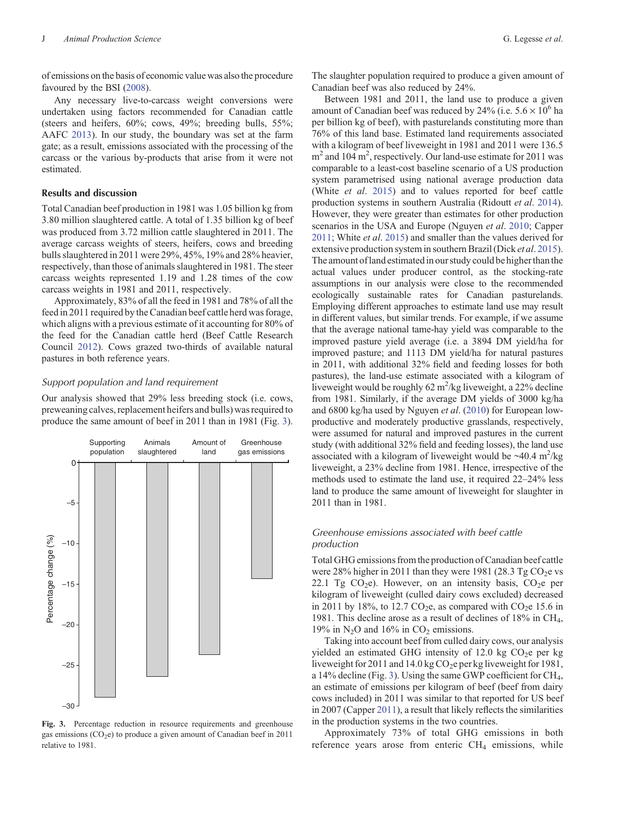of emissions on the basis of economic value was also the procedure favoured by the BSI [\(2008](#page-13-0)).

Any necessary live-to-carcass weight conversions were undertaken using factors recommended for Canadian cattle (steers and heifers, 60%; cows, 49%; breeding bulls, 55%; AAFC [2013](#page-12-0)). In our study, the boundary was set at the farm gate; as a result, emissions associated with the processing of the carcass or the various by-products that arise from it were not estimated.

## **Results and discussion**

Total Canadian beef production in 1981 was 1.05 billion kg from 3.80 million slaughtered cattle. A total of 1.35 billion kg of beef was produced from 3.72 million cattle slaughtered in 2011. The average carcass weights of steers, heifers, cows and breeding bulls slaughtered in 2011 were 29%, 45%, 19% and 28% heavier, respectively, than those of animals slaughtered in 1981. The steer carcass weights represented 1.19 and 1.28 times of the cow carcass weights in 1981 and 2011, respectively.

Approximately, 83% of all the feed in 1981 and 78% of all the feed in 2011 required by the Canadian beef cattle herd was forage, which aligns with a previous estimate of it accounting for 80% of the feed for the Canadian cattle herd (Beef Cattle Research Council [2012\)](#page-13-0). Cows grazed two-thirds of available natural pastures in both reference years.

## *Support population and land requirement*

Our analysis showed that 29% less breeding stock (i.e. cows, preweaning calves, replacement heifers and bulls) was required to produce the same amount of beef in 2011 than in 1981 (Fig. 3).



**Fig. 3.** Percentage reduction in resource requirements and greenhouse gas emissions  $(CO_2e)$  to produce a given amount of Canadian beef in 2011 relative to 1981.

The slaughter population required to produce a given amount of Canadian beef was also reduced by 24%.

Between 1981 and 2011, the land use to produce a given amount of Canadian beef was reduced by 24% (i.e.  $5.6 \times 10^6$  ha per billion kg of beef), with pasturelands constituting more than 76% of this land base. Estimated land requirements associated with a kilogram of beef liveweight in 1981 and 2011 were 136.5  $m<sup>2</sup>$  and 104 m<sup>2</sup>, respectively. Our land-use estimate for 2011 was comparable to a least-cost baseline scenario of a US production system parametrised using national average production data (White *et al*. [2015](#page-15-0)) and to values reported for beef cattle production systems in southern Australia (Ridoutt *et al*. [2014](#page-14-0)). However, they were greater than estimates for other production scenarios in the USA and Europe (Nguyen *et al*. [2010](#page-14-0); Capper [2011;](#page-13-0) White *et al*. [2015](#page-15-0)) and smaller than the values derived for extensive production system in southern Brazil (Dick *et al*. [2015](#page-13-0)). The amount of land estimated in our study could be higher thanthe actual values under producer control, as the stocking-rate assumptions in our analysis were close to the recommended ecologically sustainable rates for Canadian pasturelands. Employing different approaches to estimate land use may result in different values, but similar trends. For example, if we assume that the average national tame-hay yield was comparable to the improved pasture yield average (i.e. a 3894 DM yield/ha for improved pasture; and 1113 DM yield/ha for natural pastures in 2011, with additional 32% field and feeding losses for both pastures), the land-use estimate associated with a kilogram of liveweight would be roughly 62  $m^2$ /kg liveweight, a 22% decline from 1981. Similarly, if the average DM yields of 3000 kg/ha and 6800 kg/ha used by Nguyen *et al*. ([2010](#page-14-0)) for European lowproductive and moderately productive grasslands, respectively, were assumed for natural and improved pastures in the current study (with additional 32% field and feeding losses), the land use associated with a kilogram of liveweight would be  $\sim$ 40.4 m<sup>2</sup>/kg liveweight, a 23% decline from 1981. Hence, irrespective of the methods used to estimate the land use, it required 22–24% less land to produce the same amount of liveweight for slaughter in 2011 than in 1981.

## *Greenhouse emissions associated with beef cattle production*

Total GHG emissions from the production of Canadian beef cattle were 28% higher in 2011 than they were 1981 (28.3 Tg  $CO<sub>2</sub>e$  vs 22.1 Tg  $CO<sub>2</sub>e$ ). However, on an intensity basis,  $CO<sub>2</sub>e$  per kilogram of liveweight (culled dairy cows excluded) decreased in 2011 by 18%, to 12.7 CO<sub>2</sub>e, as compared with CO<sub>2</sub>e 15.6 in 1981. This decline arose as a result of declines of 18% in CH4, 19% in  $N_2O$  and 16% in  $CO_2$  emissions.

Taking into account beef from culled dairy cows, our analysis yielded an estimated GHG intensity of 12.0 kg  $CO<sub>2</sub>e$  per kg liveweight for 2011 and 14.0 kg  $CO<sub>2</sub>e$  per kg liveweight for 1981, a 14% decline (Fig. 3). Using the same GWP coefficient for CH4, an estimate of emissions per kilogram of beef (beef from dairy cows included) in 2011 was similar to that reported for US beef in 2007 (Capper [2011\)](#page-13-0), a result that likely reflects the similarities in the production systems in the two countries.

Approximately 73% of total GHG emissions in both reference years arose from enteric  $CH<sub>4</sub>$  emissions, while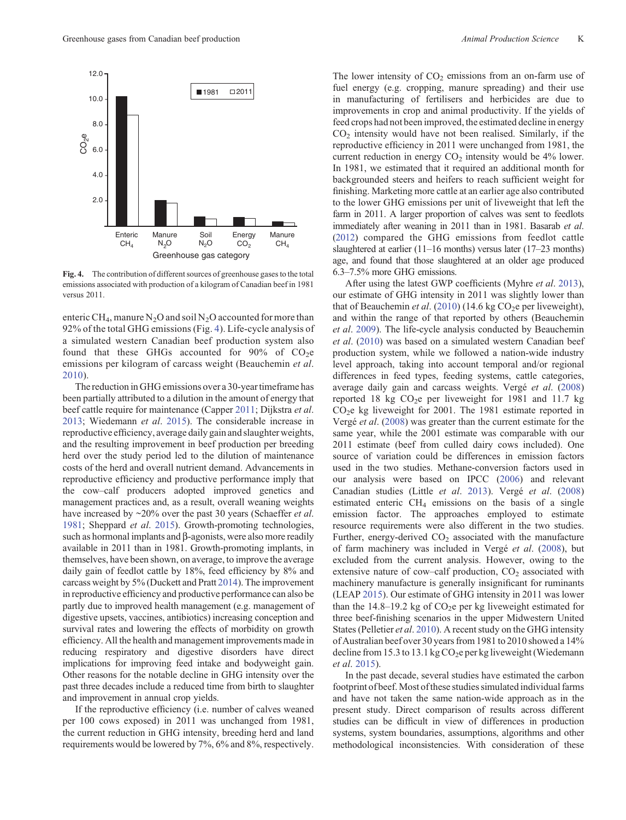

**Fig. 4.** The contribution of different sources of greenhouse gases to the total emissions associated with production of a kilogram of Canadian beef in 1981 versus 2011.

enteric CH<sub>4</sub>, manure N<sub>2</sub>O and soil N<sub>2</sub>O accounted for more than 92% of the total GHG emissions (Fig. 4). Life-cycle analysis of a simulated western Canadian beef production system also found that these GHGs accounted for  $90\%$  of CO<sub>2</sub>e emissions per kilogram of carcass weight (Beauchemin *et al*. [2010](#page-13-0)).

The reduction in GHG emissions over a 30-year timeframe has been partially attributed to a dilution in the amount of energy that beef cattle require for maintenance (Capper [2011;](#page-13-0) Dijkstra *et al*. [2013](#page-13-0); Wiedemann *et al*. [2015\)](#page-15-0). The considerable increase in reproductive efficiency, average daily gain and slaughter weights, and the resulting improvement in beef production per breeding herd over the study period led to the dilution of maintenance costs of the herd and overall nutrient demand. Advancements in reproductive efficiency and productive performance imply that the cow–calf producers adopted improved genetics and management practices and, as a result, overall weaning weights have increased by ~20% over the past 30 years (Schaeffer *et al*. [1981](#page-14-0); Sheppard *et al*. [2015](#page-14-0)). Growth-promoting technologies, such as hormonal implants and  $\beta$ -agonists, were also more readily available in 2011 than in 1981. Growth-promoting implants, in themselves, have been shown, on average, to improve the average daily gain of feedlot cattle by 18%, feed efficiency by 8% and carcass weight by 5% (Duckett and Pratt [2014](#page-13-0)). The improvement in reproductive efficiency and productive performance can also be partly due to improved health management (e.g. management of digestive upsets, vaccines, antibiotics) increasing conception and survival rates and lowering the effects of morbidity on growth efficiency. All the health and management improvements made in reducing respiratory and digestive disorders have direct implications for improving feed intake and bodyweight gain. Other reasons for the notable decline in GHG intensity over the past three decades include a reduced time from birth to slaughter and improvement in annual crop yields.

If the reproductive efficiency (i.e. number of calves weaned per 100 cows exposed) in 2011 was unchanged from 1981, the current reduction in GHG intensity, breeding herd and land requirements would be lowered by 7%, 6% and 8%, respectively.

The lower intensity of  $CO<sub>2</sub>$  emissions from an on-farm use of fuel energy (e.g. cropping, manure spreading) and their use in manufacturing of fertilisers and herbicides are due to improvements in crop and animal productivity. If the yields of feed crops had not been improved, the estimated decline in energy  $CO<sub>2</sub>$  intensity would have not been realised. Similarly, if the reproductive efficiency in 2011 were unchanged from 1981, the current reduction in energy  $CO<sub>2</sub>$  intensity would be 4% lower. In 1981, we estimated that it required an additional month for backgrounded steers and heifers to reach sufficient weight for finishing. Marketing more cattle at an earlier age also contributed to the lower GHG emissions per unit of liveweight that left the farm in 2011. A larger proportion of calves was sent to feedlots immediately after weaning in 2011 than in 1981. Basarab *et al*. [\(2012\)](#page-13-0) compared the GHG emissions from feedlot cattle slaughtered at earlier (11–16 months) versus later (17–23 months) age, and found that those slaughtered at an older age produced 6.3–7.5% more GHG emissions.

After using the latest GWP coefficients (Myhre *et al*. [2013](#page-14-0)), our estimate of GHG intensity in 2011 was slightly lower than that of Beauchemin *et al.* ([2010\)](#page-13-0) (14.6 kg  $CO<sub>2</sub>e$  per liveweight), and within the range of that reported by others (Beauchemin *et al*. [2009\)](#page-13-0). The life-cycle analysis conducted by Beauchemin *et al*. [\(2010](#page-13-0)) was based on a simulated western Canadian beef production system, while we followed a nation-wide industry level approach, taking into account temporal and/or regional differences in feed types, feeding systems, cattle categories, average daily gain and carcass weights. Vergé *et al*. ([2008\)](#page-15-0) reported 18 kg  $CO<sub>2</sub>e$  per liveweight for 1981 and 11.7 kg  $CO<sub>2</sub>e$  kg liveweight for 2001. The 1981 estimate reported in Vergé *et al*. [\(2008](#page-15-0)) was greater than the current estimate for the same year, while the 2001 estimate was comparable with our 2011 estimate (beef from culled dairy cows included). One source of variation could be differences in emission factors used in the two studies. Methane-conversion factors used in our analysis were based on IPCC ([2006](#page-13-0)) and relevant Canadian studies (Little *et al*. [2013\)](#page-14-0). Vergé *et al*. ([2008\)](#page-15-0) estimated enteric  $CH<sub>4</sub>$  emissions on the basis of a single emission factor. The approaches employed to estimate resource requirements were also different in the two studies. Further, energy-derived  $CO<sub>2</sub>$  associated with the manufacture of farm machinery was included in Vergé *et al*. [\(2008](#page-15-0)), but excluded from the current analysis. However, owing to the extensive nature of cow–calf production,  $CO<sub>2</sub>$  associated with machinery manufacture is generally insignificant for ruminants (LEAP [2015](#page-14-0)). Our estimate of GHG intensity in 2011 was lower than the 14.8–19.2 kg of  $CO<sub>2</sub>e$  per kg liveweight estimated for three beef-finishing scenarios in the upper Midwestern United States (Pelletier *et al*. [2010\)](#page-14-0). A recent study on the GHG intensity of Australian beef over 30 years from 1981 to 2010 showed a 14% decline from 15.3 to 13.1 kg  $CO<sub>2</sub>e$  per kg liveweight (Wiedemann *et al*. [2015](#page-15-0)).

In the past decade, several studies have estimated the carbon footprint of beef. Most of these studies simulated individual farms and have not taken the same nation-wide approach as in the present study. Direct comparison of results across different studies can be difficult in view of differences in production systems, system boundaries, assumptions, algorithms and other methodological inconsistencies. With consideration of these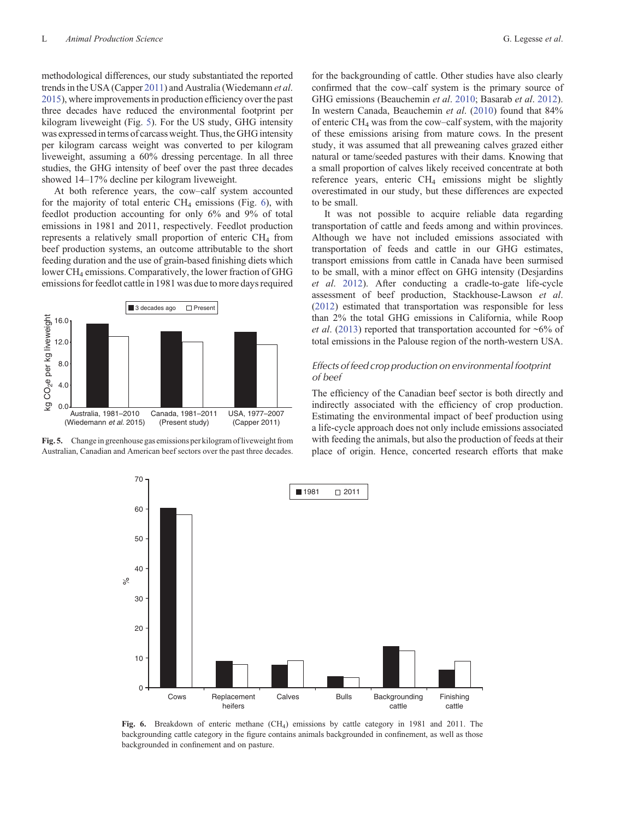methodological differences, our study substantiated the reported trends in the USA (Capper [2011](#page-13-0)) and Australia (Wiedemann *et al*. [2015](#page-15-0)), where improvements in production efficiency over the past three decades have reduced the environmental footprint per kilogram liveweight (Fig. 5). For the US study, GHG intensity was expressed in terms of carcass weight. Thus, the GHG intensity per kilogram carcass weight was converted to per kilogram liveweight, assuming a 60% dressing percentage. In all three studies, the GHG intensity of beef over the past three decades showed 14–17% decline per kilogram liveweight.

At both reference years, the cow–calf system accounted for the majority of total enteric  $CH<sub>4</sub>$  emissions (Fig. 6), with feedlot production accounting for only 6% and 9% of total emissions in 1981 and 2011, respectively. Feedlot production represents a relatively small proportion of enteric  $CH<sub>4</sub>$  from beef production systems, an outcome attributable to the short feeding duration and the use of grain-based finishing diets which lower CH<sub>4</sub> emissions. Comparatively, the lower fraction of GHG emissions for feedlot cattle in 1981 was due to more days required



Fig. 5. Change in greenhouse gas emissions per kilogram of liveweight from Australian, Canadian and American beef sectors over the past three decades.

for the backgrounding of cattle. Other studies have also clearly confirmed that the cow–calf system is the primary source of GHG emissions (Beauchemin *et al*. [2010](#page-13-0); Basarab *et al*. [2012](#page-13-0)). In western Canada, Beauchemin *et al*. [\(2010](#page-13-0)) found that 84% of enteric CH4 was from the cow–calf system, with the majority of these emissions arising from mature cows. In the present study, it was assumed that all preweaning calves grazed either natural or tame/seeded pastures with their dams. Knowing that a small proportion of calves likely received concentrate at both reference years, enteric  $CH<sub>4</sub>$  emissions might be slightly overestimated in our study, but these differences are expected to be small.

It was not possible to acquire reliable data regarding transportation of cattle and feeds among and within provinces. Although we have not included emissions associated with transportation of feeds and cattle in our GHG estimates, transport emissions from cattle in Canada have been surmised to be small, with a minor effect on GHG intensity (Desjardins *et al*. [2012](#page-13-0)). After conducting a cradle-to-gate life-cycle assessment of beef production, Stackhouse-Lawson *et al*. ([2012\)](#page-14-0) estimated that transportation was responsible for less than 2% the total GHG emissions in California, while Roop *et al*. ([2013\)](#page-14-0) reported that transportation accounted for ~6% of total emissions in the Palouse region of the north-western USA.

## *Effects of feed crop production on environmental footprint of beef*

The efficiency of the Canadian beef sector is both directly and indirectly associated with the efficiency of crop production. Estimating the environmental impact of beef production using a life-cycle approach does not only include emissions associated with feeding the animals, but also the production of feeds at their place of origin. Hence, concerted research efforts that make



**Fig. 6.** Breakdown of enteric methane (CH4) emissions by cattle category in 1981 and 2011. The backgrounding cattle category in the figure contains animals backgrounded in confinement, as well as those backgrounded in confinement and on pasture.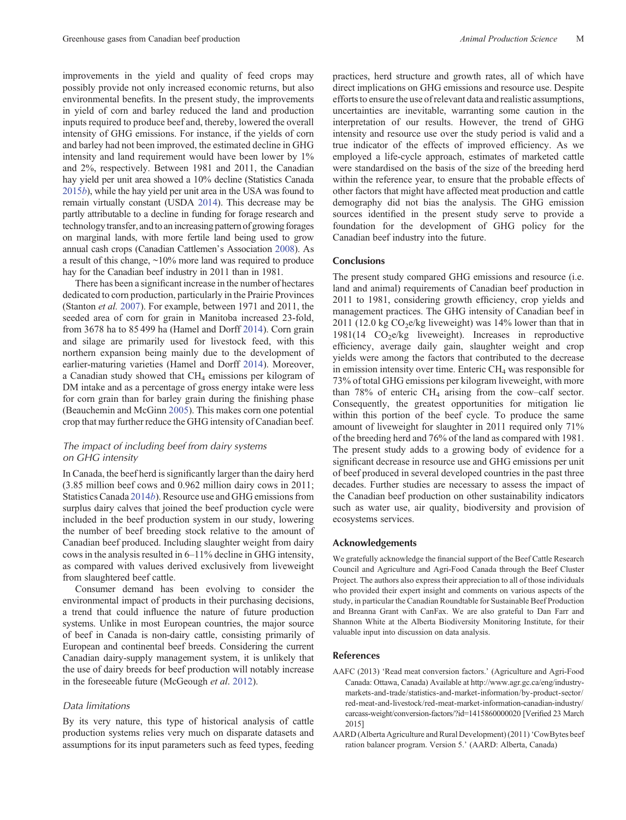<span id="page-12-0"></span>improvements in the yield and quality of feed crops may possibly provide not only increased economic returns, but also environmental benefits. In the present study, the improvements in yield of corn and barley reduced the land and production inputs required to produce beef and, thereby, lowered the overall intensity of GHG emissions. For instance, if the yields of corn and barley had not been improved, the estimated decline in GHG intensity and land requirement would have been lower by 1% and 2%, respectively. Between 1981 and 2011, the Canadian hay yield per unit area showed a 10% decline (Statistics Canada [2015](#page-15-0)*b*), while the hay yield per unit area in the USA was found to remain virtually constant (USDA [2014\)](#page-15-0). This decrease may be partly attributable to a decline in funding for forage research and technologytransfer, andto an increasing pattern of growing forages on marginal lands, with more fertile land being used to grow annual cash crops (Canadian Cattlemen's Association [2008](#page-13-0)). As a result of this change, ~10% more land was required to produce hay for the Canadian beef industry in 2011 than in 1981.

There has been a significant increase in the number of hectares dedicated to corn production, particularly in the Prairie Provinces (Stanton *et al.* [2007](#page-14-0)). For example, between 1971 and 2011, the seeded area of corn for grain in Manitoba increased 23-fold, from 3678 ha to 85 499 ha (Hamel and Dorff [2014](#page-13-0)). Corn grain and silage are primarily used for livestock feed, with this northern expansion being mainly due to the development of earlier-maturing varieties (Hamel and Dorff [2014](#page-13-0)). Moreover, a Canadian study showed that CH<sub>4</sub> emissions per kilogram of DM intake and as a percentage of gross energy intake were less for corn grain than for barley grain during the finishing phase (Beauchemin and McGinn [2005](#page-13-0)). This makes corn one potential crop that may further reduce the GHG intensity of Canadian beef.

# *The impact of including beef from dairy systems on GHG intensity*

In Canada, the beef herd is significantly larger than the dairy herd (3.85 million beef cows and 0.962 million dairy cows in 2011; Statistics Canada [2014](#page-15-0)*b*). Resource use and GHG emissions from surplus dairy calves that joined the beef production cycle were included in the beef production system in our study, lowering the number of beef breeding stock relative to the amount of Canadian beef produced. Including slaughter weight from dairy cows in the analysis resulted in 6–11% decline in GHG intensity, as compared with values derived exclusively from liveweight from slaughtered beef cattle.

Consumer demand has been evolving to consider the environmental impact of products in their purchasing decisions, a trend that could influence the nature of future production systems. Unlike in most European countries, the major source of beef in Canada is non-dairy cattle, consisting primarily of European and continental beef breeds. Considering the current Canadian dairy-supply management system, it is unlikely that the use of dairy breeds for beef production will notably increase in the foreseeable future (McGeough *et al*. [2012](#page-14-0)).

## *Data limitations*

By its very nature, this type of historical analysis of cattle production systems relies very much on disparate datasets and assumptions for its input parameters such as feed types, feeding practices, herd structure and growth rates, all of which have direct implications on GHG emissions and resource use. Despite efforts to ensure the use of relevant data and realistic assumptions, uncertainties are inevitable, warranting some caution in the interpretation of our results. However, the trend of GHG intensity and resource use over the study period is valid and a true indicator of the effects of improved efficiency. As we employed a life-cycle approach, estimates of marketed cattle were standardised on the basis of the size of the breeding herd within the reference year, to ensure that the probable effects of other factors that might have affected meat production and cattle demography did not bias the analysis. The GHG emission sources identified in the present study serve to provide a foundation for the development of GHG policy for the Canadian beef industry into the future.

## **Conclusions**

The present study compared GHG emissions and resource (i.e. land and animal) requirements of Canadian beef production in 2011 to 1981, considering growth efficiency, crop yields and management practices. The GHG intensity of Canadian beef in 2011 (12.0 kg  $CO<sub>2</sub>e/kg$  liveweight) was 14% lower than that in  $1981(14 \text{ CO}_2)$ e/kg liveweight). Increases in reproductive efficiency, average daily gain, slaughter weight and crop yields were among the factors that contributed to the decrease in emission intensity over time. Enteric CH<sub>4</sub> was responsible for 73% of total GHG emissions per kilogram liveweight, with more than  $78\%$  of enteric CH<sub>4</sub> arising from the cow–calf sector. Consequently, the greatest opportunities for mitigation lie within this portion of the beef cycle. To produce the same amount of liveweight for slaughter in 2011 required only 71% of the breeding herd and 76% of the land as compared with 1981. The present study adds to a growing body of evidence for a significant decrease in resource use and GHG emissions per unit of beef produced in several developed countries in the past three decades. Further studies are necessary to assess the impact of the Canadian beef production on other sustainability indicators such as water use, air quality, biodiversity and provision of ecosystems services.

#### **Acknowledgements**

We gratefully acknowledge the financial support of the Beef Cattle Research Council and Agriculture and Agri-Food Canada through the Beef Cluster Project. The authors also express their appreciation to all of those individuals who provided their expert insight and comments on various aspects of the study, in particular the Canadian Roundtable for Sustainable Beef Production and Breanna Grant with CanFax. We are also grateful to Dan Farr and Shannon White at the Alberta Biodiversity Monitoring Institute, for their valuable input into discussion on data analysis.

#### **References**

- AAFC (2013) 'Read meat conversion factors.' (Agriculture and Agri-Food Canada: Ottawa, Canada) Available at [http://www.agr.gc.ca/eng/industry](www.agr.gc.ca/eng/industry-markets-and-trade/statistics-and-market-information/by-product-sector/red-meat-and-livestock/red-meat-market-information-canadian-industry/carcass-weight/conversion-factors/?id=1415860000020)[markets-and-trade/statistics-and-market-information/by-product-sector/](www.agr.gc.ca/eng/industry-markets-and-trade/statistics-and-market-information/by-product-sector/red-meat-and-livestock/red-meat-market-information-canadian-industry/carcass-weight/conversion-factors/?id=1415860000020) [red-meat-and-livestock/red-meat-market-information-canadian-industry/](www.agr.gc.ca/eng/industry-markets-and-trade/statistics-and-market-information/by-product-sector/red-meat-and-livestock/red-meat-market-information-canadian-industry/carcass-weight/conversion-factors/?id=1415860000020) [carcass-weight/conversion-factors/?id=1415860000020](www.agr.gc.ca/eng/industry-markets-and-trade/statistics-and-market-information/by-product-sector/red-meat-and-livestock/red-meat-market-information-canadian-industry/carcass-weight/conversion-factors/?id=1415860000020) [Verified 23 March 2015]
- AARD (Alberta Agriculture and Rural Development) (2011)'CowBytes beef ration balancer program. Version 5.' (AARD: Alberta, Canada)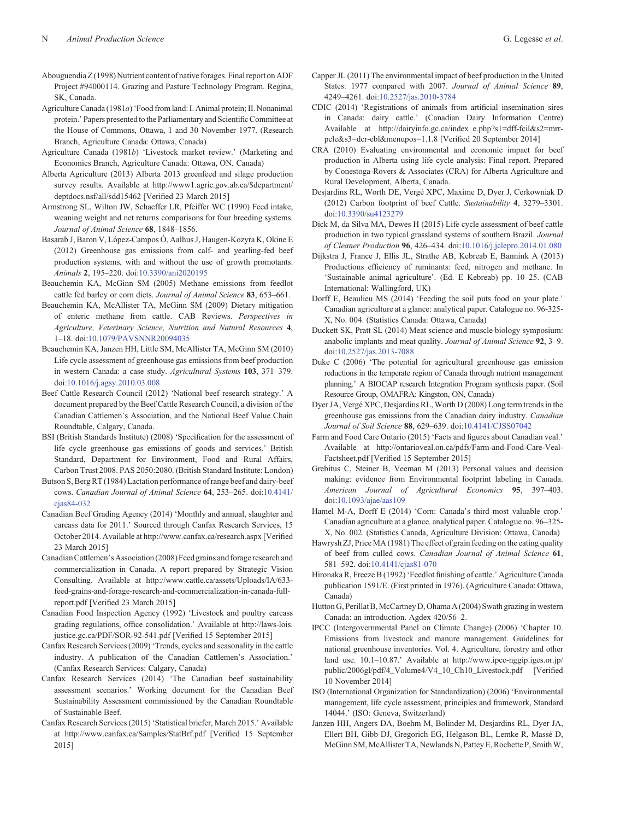- <span id="page-13-0"></span>Abouguendia Z (1998) Nutrient content of native forages. Final report on ADF Project #94000114. Grazing and Pasture Technology Program. Regina, SK, Canada.
- Agriculture Canada (1981*a*)'Food from land: I. Animal protein; II. Nonanimal protein.' Papers presented to the Parliamentary and Scientific Committee at the House of Commons, Ottawa, 1 and 30 November 1977. (Research Branch, Agriculture Canada: Ottawa, Canada)
- Agriculture Canada (1981*b*) 'Livestock market review.' (Marketing and Economics Branch, Agriculture Canada: Ottawa, ON, Canada)
- Alberta Agriculture (2013) Alberta 2013 greenfeed and silage production survey results. Available at [http://www1.agric.gov.ab.ca/\\$department/](www1.agric.gov.ab.ca/$department/deptdocs.nsf/all/sdd15462) [deptdocs.nsf/all/sdd15462](www1.agric.gov.ab.ca/$department/deptdocs.nsf/all/sdd15462) [Verified 23 March 2015]
- Armstrong SL, Wilton JW, Schaeffer LR, Pfeiffer WC (1990) Feed intake, weaning weight and net returns comparisons for four breeding systems. *Journal of Animal Science* **68**, 1848–1856.
- Basarab J, Baron V, López-Campos Ó, Aalhus J, Haugen-Kozyra K, Okine E (2012) Greenhouse gas emissions from calf- and yearling-fed beef production systems, with and without the use of growth promotants. *Animals* **2**, 195–220. doi[:10.3390/ani2020195](dx.doi.org/10.3390/ani2020195)
- Beauchemin KA, McGinn SM (2005) Methane emissions from feedlot cattle fed barley or corn diets. *Journal of Animal Science* **83**, 653–661.
- Beauchemin KA, McAllister TA, McGinn SM (2009) Dietary mitigation of enteric methane from cattle. CAB Reviews. *Perspectives in Agriculture, Veterinary Science, Nutrition and Natural Resources* **4**, 1–18. doi:[10.1079/PAVSNNR20094035](dx.doi.org/10.1079/PAVSNNR20094035)
- Beauchemin KA, Janzen HH, Little SM, McAllister TA, McGinn SM (2010) Life cycle assessment of greenhouse gas emissions from beef production in western Canada: a case study. *Agricultural Systems* **103**, 371–379. doi:[10.1016/j.agsy.2010.03.008](dx.doi.org/10.1016/j.agsy.2010.03.008)
- Beef Cattle Research Council (2012) 'National beef research strategy.' A document prepared by the Beef Cattle Research Council, a division of the Canadian Cattlemen's Association, and the National Beef Value Chain Roundtable, Calgary, Canada.
- BSI (British Standards Institute) (2008) 'Specification for the assessment of life cycle greenhouse gas emissions of goods and services.' British Standard, Department for Environment, Food and Rural Affairs, Carbon Trust 2008. PAS 2050:2080. (British Standard Institute: London)
- Butson S, Berg RT (1984) Lactation performance of range beef and dairy-beef cows. *Canadian Journal of Animal Science* **64**, 253–265. doi:[10.4141/](dx.doi.org/10.4141/cjas84-032) cias84-032
- Canadian Beef Grading Agency (2014) 'Monthly and annual, slaughter and carcass data for 2011.' Sourced through Canfax Research Services, 15 October 2014. Available at [http://www.canfax.ca/research.aspx](www.canfax.ca/research.aspx) [Verified 23 March 2015]
- CanadianCattlemen's Association (2008) Feed grains and forage research and commercialization in Canada. A report prepared by Strategic Vision Consulting. Available at [http://www.cattle.ca/assets/Uploads/IA/633](www.cattle.ca/assets/Uploads/IA/633-feed-grains-and-forage-research-and-commercialization-in-canada-full-report.pdf) [feed-grains-and-forage-research-and-commercialization-in-canada-full](www.cattle.ca/assets/Uploads/IA/633-feed-grains-and-forage-research-and-commercialization-in-canada-full-report.pdf)[report.pdf](www.cattle.ca/assets/Uploads/IA/633-feed-grains-and-forage-research-and-commercialization-in-canada-full-report.pdf) [Verified 23 March 2015]
- Canadian Food Inspection Agency (1992) 'Livestock and poultry carcass grading regulations, office consolidation.' Available at [http://laws-lois.](http://laws-lois.justice.gc.ca/PDF/SOR-92-541.pdf) [justice.gc.ca/PDF/SOR-92-541.pdf](http://laws-lois.justice.gc.ca/PDF/SOR-92-541.pdf) [Verified 15 September 2015]
- Canfax Research Services (2009) 'Trends, cycles and seasonality in the cattle industry. A publication of the Canadian Cattlemen's Association.' (Canfax Research Services: Calgary, Canada)
- Canfax Research Services (2014) 'The Canadian beef sustainability assessment scenarios.' Working document for the Canadian Beef Sustainability Assessment commissioned by the Canadian Roundtable of Sustainable Beef.
- Canfax Research Services (2015) 'Statistical briefer, March 2015.' Available at [http://www.canfax.ca/Samples/StatBrf.pdf](www.canfax.ca/Samples/StatBrf.pdf) [Verified 15 September 2015]
- Capper JL (2011) The environmental impact of beef production in the United States: 1977 compared with 2007. *Journal of Animal Science* **89**, 4249–4261. doi:[10.2527/jas.2010-3784](dx.doi.org/10.2527/jas.2010-3784)
- CDIC (2014) 'Registrations of animals from artificial insemination sires in Canada: dairy cattle.' (Canadian Dairy Information Centre) Available at [http://dairyinfo.gc.ca/index\\_e.php?s1=dff-fcil&s2=mrr](http://dairyinfo.gc.ca/index_e.php?s1=dff-fcil&s2=mrr-pcle&s3=dcr-ebl&menupos=1.1.8)[pcle&s3=dcr-ebl](http://dairyinfo.gc.ca/index_e.php?s1=dff-fcil&s2=mrr-pcle&s3=dcr-ebl&menupos=1.1.8)&[menupos=1.1.8](http://dairyinfo.gc.ca/index_e.php?s1=dff-fcil&s2=mrr-pcle&s3=dcr-ebl&menupos=1.1.8) [Verified 20 September 2014]
- CRA (2010) Evaluating environmental and economic impact for beef production in Alberta using life cycle analysis: Final report. Prepared by Conestoga-Rovers & Associates (CRA) for Alberta Agriculture and Rural Development, Alberta, Canada.
- Desjardins RL, Worth DE, Vergé XPC, Maxime D, Dyer J, Cerkowniak D (2012) Carbon footprint of beef Cattle. *Sustainability* **4**, 3279–3301. doi:[10.3390/su4123279](dx.doi.org/10.3390/su4123279)
- Dick M, da Silva MA, Dewes H (2015) Life cycle assessment of beef cattle production in two typical grassland systems of southern Brazil. *Journal of Cleaner Production* **96**, 426–434. doi:[10.1016/j.jclepro.2014.01.080](dx.doi.org/10.1016/j.jclepro.2014.01.080)
- Dijkstra J, France J, Ellis JL, Strathe AB, Kebreab E, Bannink A (2013) Productions efficiency of ruminants: feed, nitrogen and methane. In 'Sustainable animal agriculture'. (Ed. E Kebreab) pp. 10–25. (CAB International: Wallingford, UK)
- Dorff E, Beaulieu MS (2014) 'Feeding the soil puts food on your plate.' Canadian agriculture at a glance: analytical paper. Catalogue no. 96-325- X, No. 004. (Statistics Canada: Ottawa, Canada)
- Duckett SK, Pratt SL (2014) Meat science and muscle biology symposium: anabolic implants and meat quality. *Journal of Animal Science* **92**, 3–9. doi:[10.2527/jas.2013-7088](dx.doi.org/10.2527/jas.2013-7088)
- Duke C (2006) 'The potential for agricultural greenhouse gas emission reductions in the temperate region of Canada through nutrient management planning.' A BIOCAP research Integration Program synthesis paper. (Soil Resource Group, OMAFRA: Kingston, ON, Canada)
- Dyer JA, Vergé XPC, Desjardins RL, Worth D (2008) Long term trends in the greenhouse gas emissions from the Canadian dairy industry. *Canadian Journal of Soil Science* **88**, 629–639. doi:[10.4141/CJSS07042](dx.doi.org/10.4141/CJSS07042)
- Farm and Food Care Ontario (2015) 'Facts and figures about Canadian veal.' Available at [http://ontarioveal.on.ca/pdfs/Farm-and-Food-Care-Veal-](http://ontarioveal.on.ca/pdfs/Farm-and-Food-Care-Veal-Factsheet.pdf)[Factsheet.pdf](http://ontarioveal.on.ca/pdfs/Farm-and-Food-Care-Veal-Factsheet.pdf) [Verified 15 September 2015]
- Grebitus C, Steiner B, Veeman M (2013) Personal values and decision making: evidence from Environmental footprint labeling in Canada. *American Journal of Agricultural Economics* **95**, 397–403. doi:[10.1093/ajae/aas109](dx.doi.org/10.1093/ajae/aas109)
- Hamel M-A, Dorff E (2014) 'Corn: Canada's third most valuable crop.' Canadian agriculture at a glance. analytical paper. Catalogue no. 96–325- X, No. 002. (Statistics Canada, Agriculture Division: Ottawa, Canada)
- Hawrysh ZJ, Price MA (1981) The effect of grain feeding on the eating quality of beef from culled cows. *Canadian Journal of Animal Science* **61**, 581–592. doi:[10.4141/cjas81-070](dx.doi.org/10.4141/cjas81-070)
- Hironaka R, Freeze B (1992) 'Feedlot finishing of cattle.' Agriculture Canada publication 1591/E. (First printed in 1976). (Agriculture Canada: Ottawa, Canada)
- Hutton G, Perillat B, McCartney D, Ohama A (2004) Swath grazing in western Canada: an introduction. Agdex 420/56–2.
- IPCC (Intergovernmental Panel on Climate Change) (2006) 'Chapter 10. Emissions from livestock and manure management. Guidelines for national greenhouse inventories. Vol. 4. Agriculture, forestry and other land use. 10.1–10.87.' Available at [http://www.ipcc-nggip.iges.or.jp/](www.ipcc-nggip.iges.or.jp/public/2006gl/pdf/4_Volume4/V4_10_Ch10_Livestock.pdf) [public/2006gl/pdf/4\\_Volume4/V4\\_10\\_Ch10\\_Livestock.pdf](www.ipcc-nggip.iges.or.jp/public/2006gl/pdf/4_Volume4/V4_10_Ch10_Livestock.pdf) [Verified 10 November 2014]
- ISO (International Organization for Standardization) (2006) 'Environmental management, life cycle assessment, principles and framework, Standard 14044.' (ISO: Geneva, Switzerland)
- Janzen HH, Angers DA, Boehm M, Bolinder M, Desjardins RL, Dyer JA, Ellert BH, Gibb DJ, Gregorich EG, Helgason BL, Lemke R, Massé D, McGinn SM, McAllister TA, Newlands N, Pattey E, Rochette P, Smith W,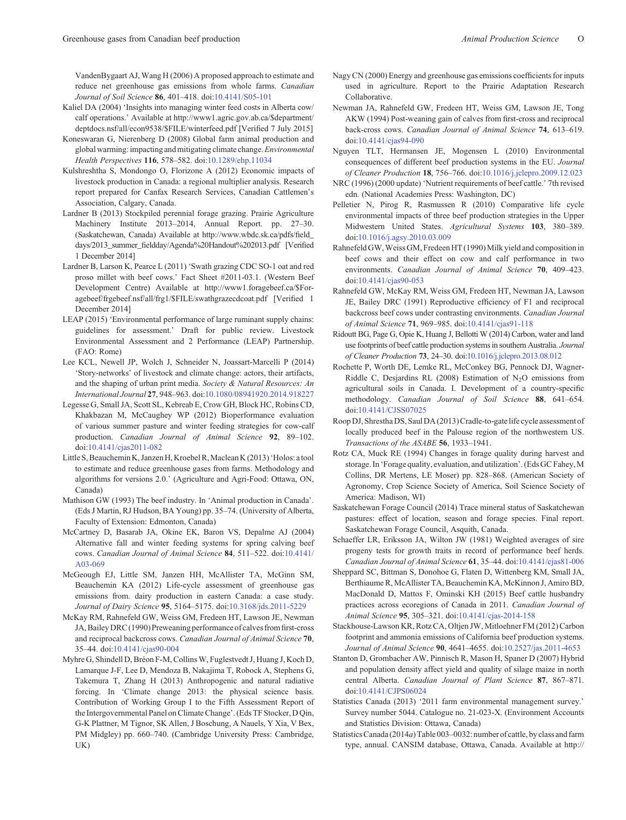<span id="page-14-0"></span>VandenBygaart AJ, Wang H (2006) A proposed approach to estimate and reduce net greenhouse gas emissions from whole farms. *Canadian Journal of Soil Science* **86**, 401–418. doi:[10.4141/S05-101](dx.doi.org/10.4141/S05-101)

- Kaliel DA (2004) 'Insights into managing winter feed costs in Alberta cow/ calf operations.' Available at [http://www1.agric.gov.ab.ca/\\$department/](www1.agric.gov.ab.ca/$department/deptdocs.nsf/all/econ9538/$FILE/winterfeed.pdf) [deptdocs.nsf/all/econ9538/\\$FILE/winterfeed.pdf](www1.agric.gov.ab.ca/$department/deptdocs.nsf/all/econ9538/$FILE/winterfeed.pdf) [Verified 7 July 2015]
- Koneswaran G, Nierenberg D (2008) Global farm animal production and global warming: impacting and mitigating climate change.*Environmental Health Perspectives* **116**, 578–582. doi[:10.1289/ehp.11034](dx.doi.org/10.1289/ehp.11034)
- Kulshreshtha S, Mondongo O, Florizone A (2012) Economic impacts of livestock production in Canada: a regional multiplier analysis. Research report prepared for Canfax Research Services, Canadian Cattlemen's Association, Calgary, Canada.
- Lardner B (2013) Stockpiled perennial forage grazing. Prairie Agriculture Machinery Institute 2013–2014, Annual Report. pp. 27–30. (Saskatchewan, Canada) Available at [http://www.wbdc.sk.ca/pdfs/](www.wbdc.sk.ca/pdfs/field_days/2013_summer_fieldday/Agenda%20Handout%202013.pdf)field\_ days/2013\_summer\_fi[eldday/Agenda%20Handout%202013.pdf](www.wbdc.sk.ca/pdfs/field_days/2013_summer_fieldday/Agenda%20Handout%202013.pdf) [Verified 1 December 2014]
- Lardner B, Larson K, Pearce L (2011) 'Swath grazing CDC SO-1 oat and red proso millet with beef cows.' Fact Sheet #2011-03.1. (Western Beef Development Centre) Available at [http://www1.foragebeef.ca/\\$For](www1.foragebeef.ca/$Foragebeef/frgebeef.nsf/all/frg1/$FILE/swathgrazecdcoat.pdf)[agebeef/frgebeef.nsf/all/frg1/\\$FILE/swathgrazecdcoat.pdf](www1.foragebeef.ca/$Foragebeef/frgebeef.nsf/all/frg1/$FILE/swathgrazecdcoat.pdf) [Verified 1 December 2014]
- LEAP (2015) 'Environmental performance of large ruminant supply chains: guidelines for assessment.' Draft for public review. Livestock Environmental Assessment and 2 Performance (LEAP) Partnership. (FAO: Rome)
- Lee KCL, Newell JP, Wolch J, Schneider N, Joassart-Marcelli P (2014) 'Story-networks' of livestock and climate change: actors, their artifacts, and the shaping of urban print media. *Society & Natural Resources: An International Journal* **27**, 948–963. doi[:10.1080/08941920.2014.918227](dx.doi.org/10.1080/08941920.2014.918227)
- Legesse G, Small JA, Scott SL, Kebreab E, Crow GH, Block HC, Robins CD, Khakbazan M, McCaughey WP (2012) Bioperformance evaluation of various summer pasture and winter feeding strategies for cow-calf production. *Canadian Journal of Animal Science* **92**, 89–102. doi:[10.4141/cjas2011-082](dx.doi.org/10.4141/cjas2011-082)
- Little S, Beauchemin K, Janzen H, Kroebel R, Maclean K (2013) 'Holos: a tool to estimate and reduce greenhouse gases from farms. Methodology and algorithms for versions 2.0.' (Agriculture and Agri-Food: Ottawa, ON, Canada)
- Mathison GW (1993) The beef industry. In 'Animal production in Canada'. (Eds J Martin, RJ Hudson, BA Young) pp. 35–74. (University of Alberta, Faculty of Extension: Edmonton, Canada)
- McCartney D, Basarab JA, Okine EK, Baron VS, Depalme AJ (2004) Alternative fall and winter feeding systems for spring calving beef cows. *Canadian Journal of Animal Science* **84**, 511–522. doi:[10.4141/](dx.doi.org/10.4141/A03-069) [A03-069](dx.doi.org/10.4141/A03-069)
- McGeough EJ, Little SM, Janzen HH, McAllister TA, McGinn SM, Beauchemin KA (2012) Life-cycle assessment of greenhouse gas emissions from. dairy production in eastern Canada: a case study. *Journal of Dairy Science* **95**, 5164–5175. doi:[10.3168/jds.2011-5229](dx.doi.org/10.3168/jds.2011-5229)
- McKay RM, Rahnefeld GW, Weiss GM, Fredeen HT, Lawson JE, Newman JA,Bailey DRC (1990) Preweaning performance of calves fromfirst-cross and reciprocal backcross cows. *Canadian Journal of Animal Science* **70**, 35–44. doi:[10.4141/cjas90-004](dx.doi.org/10.4141/cjas90-004)
- Myhre G, Shindell D, Bréon F-M, Collins W, Fuglestvedt J, Huang J, Koch D, Lamarque J-F, Lee D, Mendoza B, Nakajima T, Robock A, Stephens G, Takemura T, Zhang H (2013) Anthropogenic and natural radiative forcing. In 'Climate change 2013: the physical science basis. Contribution of Working Group I to the Fifth Assessment Report of the Intergovernmental Panel on Climate Change'. (Eds TF Stocker, D Qin, G-K Plattner, M Tignor, SK Allen, J Boschung, A Nauels, Y Xia, V Bex, PM Midgley) pp. 660–740. (Cambridge University Press: Cambridge, UK)
- Nagy CN (2000) Energy and greenhouse gas emissions coefficients for inputs used in agriculture. Report to the Prairie Adaptation Research Collaborative.
- Newman JA, Rahnefeld GW, Fredeen HT, Weiss GM, Lawson JE, Tong AKW (1994) Post-weaning gain of calves from first-cross and reciprocal back-cross cows. *Canadian Journal of Animal Science* **74**, 613–619. doi:[10.4141/cjas94-090](dx.doi.org/10.4141/cjas94-090)
- Nguyen TLT, Hermansen JE, Mogensen L (2010) Environmental consequences of different beef production systems in the EU. *Journal of Cleaner Production* **18**, 756–766. doi:[10.1016/j.jclepro.2009.12.023](dx.doi.org/10.1016/j.jclepro.2009.12.023)
- NRC (1996) (2000 update) 'Nutrient requirements of beef cattle.' 7th revised edn. (National Academies Press: Washington, DC)
- Pelletier N, Pirog R, Rasmussen R (2010) Comparative life cycle environmental impacts of three beef production strategies in the Upper Midwestern United States. *Agricultural Systems* **103**, 380–389. doi:[10.1016/j.agsy.2010.03.009](dx.doi.org/10.1016/j.agsy.2010.03.009)
- Rahnefeld GW, Weiss GM, Fredeen HT (1990) Milk yield and composition in beef cows and their effect on cow and calf performance in two environments. *Canadian Journal of Animal Science* **70**, 409–423. doi:[10.4141/cjas90-053](dx.doi.org/10.4141/cjas90-053)
- Rahnefeld GW, McKay RM, Weiss GM, Fredeen HT, Newman JA, Lawson JE, Bailey DRC (1991) Reproductive efficiency of F1 and reciprocal backcross beef cows under contrasting environments. *Canadian Journal of Animal Science* **71**, 969–985. doi:[10.4141/cjas91-118](dx.doi.org/10.4141/cjas91-118)
- Ridoutt BG, Page G, Opie K, Huang J, Bellotti W (2014) Carbon, water and land use footprints of beef cattle production systems in southern Australia. *Journal of Cleaner Production* **73**, 24–30. doi[:10.1016/j.jclepro.2013.08.012](dx.doi.org/10.1016/j.jclepro.2013.08.012)
- Rochette P, Worth DE, Lemke RL, McConkey BG, Pennock DJ, Wagner-Riddle C, Desjardins RL (2008) Estimation of  $N_2O$  emissions from agricultural soils in Canada. I. Development of a country-specific methodology. *Canadian Journal of Soil Science* **88**, 641–654. doi:[10.4141/CJSS07025](dx.doi.org/10.4141/CJSS07025)
- Roop DJ, Shrestha DS, Saul DA (2013) Cradle-to-gate life cycle assessment of locally produced beef in the Palouse region of the northwestern US. *Transactions of the ASABE* **56**, 1933–1941.
- Rotz CA, Muck RE (1994) Changes in forage quality during harvest and storage. In 'Forage quality, evaluation, and utilization'. (Eds GC Fahey,M Collins, DR Mertens, LE Moser) pp. 828–868. (American Society of Agronomy, Crop Science Society of America, Soil Science Society of America: Madison, WI)
- Saskatchewan Forage Council (2014) Trace mineral status of Saskatchewan pastures: effect of location, season and forage species. Final report. Saskatchewan Forage Council, Asquith, Canada.
- Schaeffer LR, Eriksson JA, Wilton JW (1981) Weighted averages of sire progeny tests for growth traits in record of performance beef herds. *Canadian Journal of Animal Science* **61**, 35–44. doi[:10.4141/cjas81-006](dx.doi.org/10.4141/cjas81-006)
- Sheppard SC, Bittman S, Donohoe G, Flaten D, Wittenberg KM, Small JA, Berthiaume R, McAllister TA, Beauchemin KA, McKinnon J, Amiro BD, MacDonald D, Mattos F, Ominski KH (2015) Beef cattle husbandry practices across ecoregions of Canada in 2011. *Canadian Journal of Animal Science* **95**, 305–321. doi[:10.4141/cjas-2014-158](dx.doi.org/10.4141/cjas-2014-158)
- Stackhouse-Lawson KR, Rotz CA, Oltjen JW, Mitloehner FM (2012) Carbon footprint and ammonia emissions of California beef production systems. *Journal of Animal Science* **90**, 4641–4655. doi[:10.2527/jas.2011-4653](dx.doi.org/10.2527/jas.2011-4653)
- Stanton D, Grombacher AW, Pinnisch R, Mason H, Spaner D (2007) Hybrid and population density affect yield and quality of silage maize in north central Alberta. *Canadian Journal of Plant Science* **87**, 867–871. doi:[10.4141/CJPS06024](dx.doi.org/10.4141/CJPS06024)
- Statistics Canada (2013) '2011 farm environmental management survey.' Survey number 5044. Catalogue no. 21-023-X. (Environment Accounts and Statistics Division: Ottawa, Canada)
- StatisticsCanada (2014*a*) Table 003–0032: number of cattle, by class and farm type, annual. CANSIM database, Ottawa, Canada. Available at [http://](www5.statcan.gc.ca/cansim/a26?lang=eng&id=30032)